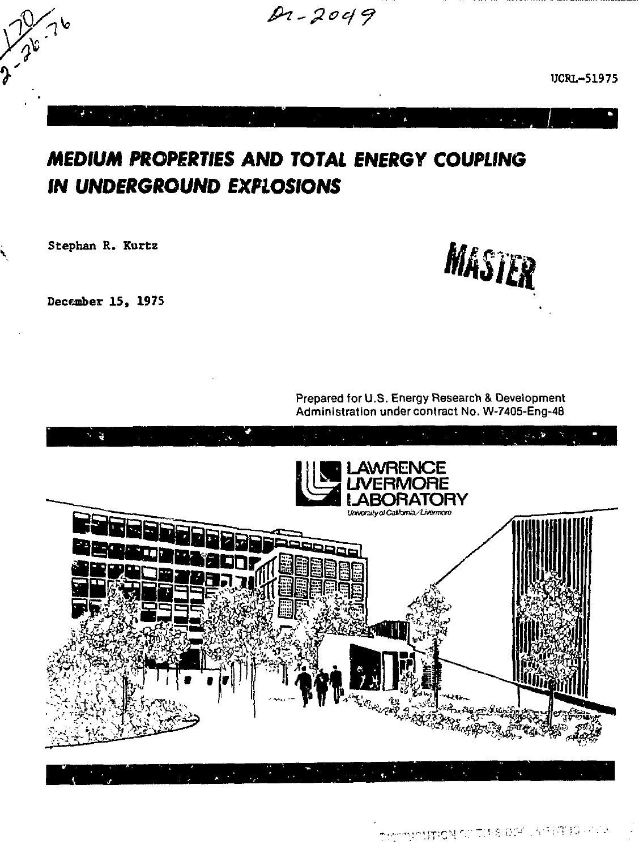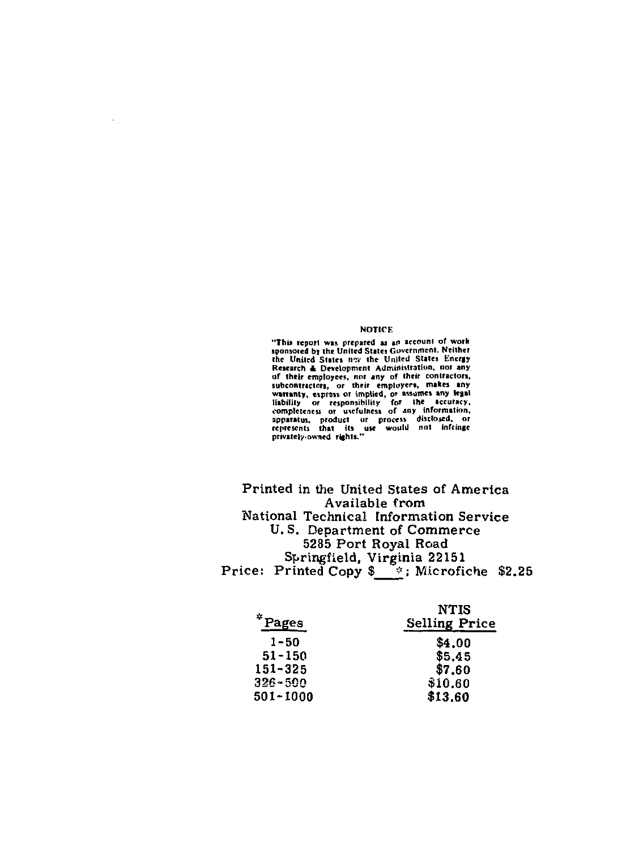#### **NOTICE**

"This report was prepared as an account of work<br>sponsored by the United States Government. Neither the United States nex the United States Energy Research & Development Administration, nor any<br>of their employees, nor any of their contractors,<br>subcontractors, or their employers, makes any<br>warning, experimently for the security warning,<br>expansivily or responsibility f

Printed in the United States of America Available from National Technical Information Service U.S. Department of Commerce 5285 Port Royal Road Springfield, Virginia 22151 Price: Printed Copy \$ 7; Microfiche \$2.25

| *Pages       | NTIS<br><b>Selling Price</b> |
|--------------|------------------------------|
| $1 - 50$     | \$4.00                       |
| $51 - 150$   | \$5.45                       |
| $151 - 325$  | \$7,60                       |
| $326 - 500$  | \$10.60                      |
| $501 - 1000$ | \$13.60                      |

 $\frac{1}{2}$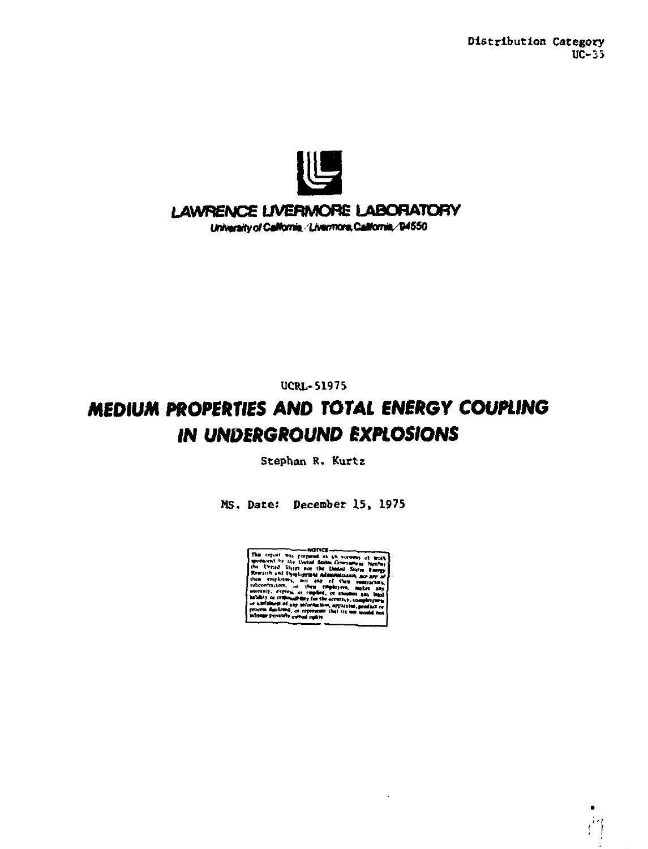

## LAWRENCE LIVERMORE LABORATORY

University of California, 'Livermore, California, '94550

**UCRL-51975** 

# MEDIUM PROPERTIES AND TOTAL ENERGY COUPLING **IN UNDERGROUND EXPLOSIONS**

Stephan R. Kurtz

MS. Date: December 15, 1975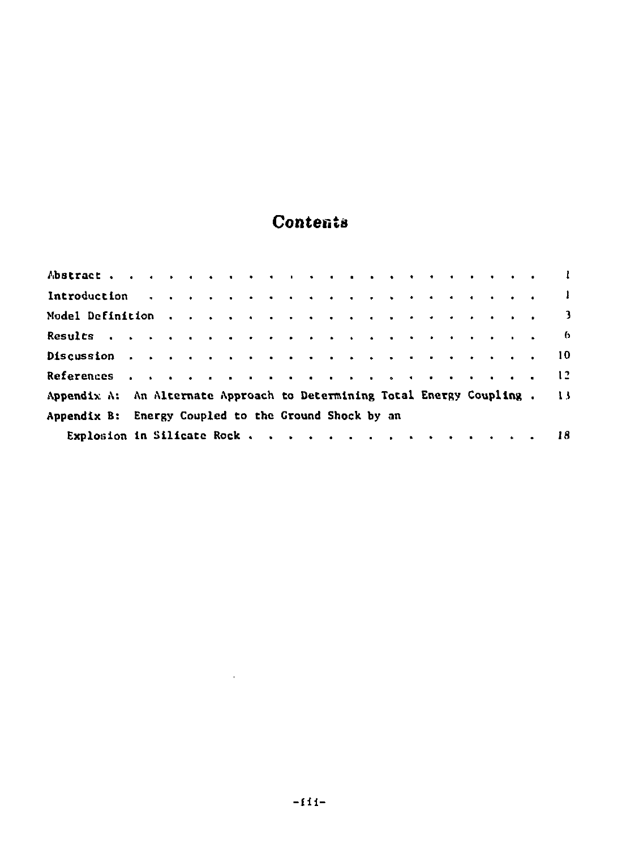# Contents

| Model Definition 3                                                                                                  |  |  |  |  |  |  |  |  |  |  |  |
|---------------------------------------------------------------------------------------------------------------------|--|--|--|--|--|--|--|--|--|--|--|
| Results $\cdots$ $\cdots$ $\cdots$ $\cdots$ $\cdots$ $\cdots$ $\cdots$ $\cdots$ $\cdots$ $\cdots$ $\cdots$ $\cdots$ |  |  |  |  |  |  |  |  |  |  |  |
|                                                                                                                     |  |  |  |  |  |  |  |  |  |  |  |
|                                                                                                                     |  |  |  |  |  |  |  |  |  |  |  |
| Appendix A: An Alternate Approach to Determining Total Energy Coupling . 13                                         |  |  |  |  |  |  |  |  |  |  |  |
| Appendix B: Energy Coupled to the Ground Shock by an                                                                |  |  |  |  |  |  |  |  |  |  |  |
| Explosion in Silicate Rock, , , , , , , , , , , , , , , , 18                                                        |  |  |  |  |  |  |  |  |  |  |  |

 $\sim 10^{11}$  and  $\sim 10^{11}$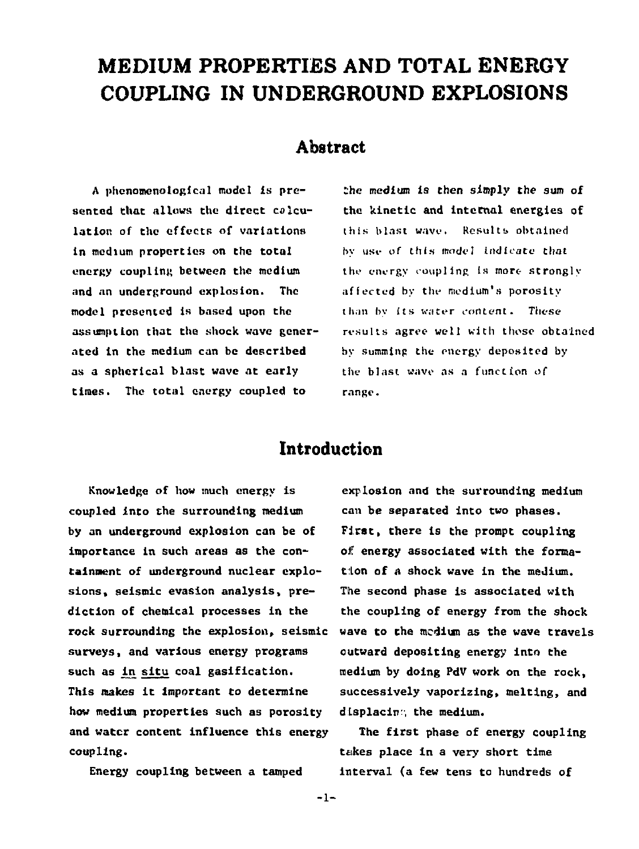# **MEDIUM PROPERTIES AND TOTAL ENERGY COUPLING IN UNDERGROUND EXPLOSIONS**

### **Abstract**

**A [phonomenologtc.il](http://phonomenologtc.il) model Is presented that allows the direct calculation of the effects of variations in medium properties on the total energy coupling between the medium and an underground explosion. The model presented is based upon the assumption that the shock wave generated in the medium can be described as a spherical blast wave at early times. The total energy coupled to** 

**She medium is then simply the sum of the kinetic and internal energies of this blast wave. Results obtained by use of this mode! indicate that the energy coupling Is more- strongly affected by the medium's porosity than by its water content. These results agree well with those obtained by summing the energy deposited by the blast wave as a function of range.** 

# **Introduction**

**Knowledge of how much energy is coupled into the surrounding medium by an underground explosion can be of importance in such areas as the containment of underground nuclear explosions, seismic evasion analysis, prediction of chemical processes in the rock surrounding the explosion, seismic surveys, and various energy programs such as in situ coal gasification. This makes** *it* **important to determine how medium properties such as porosity and water content influence this energy coupling.** 

**Energy coupling between a tamped** 

**explosion and the surrounding medium can be separated into two phases. First, there is the prompt coupling of energy associated with the formation of a shock wave in the medium. The second phase is associated with the coupling of energy from the shock wave to the medium as the wave travels outward depositing energy into the medium by doing PdV work on the rock, successively vaporizing, melting, and displacing the medium.** 

**The first phase of energy coupling ti:kes place in a very short time interval (a few tens to hundreds of** 

 $-1-$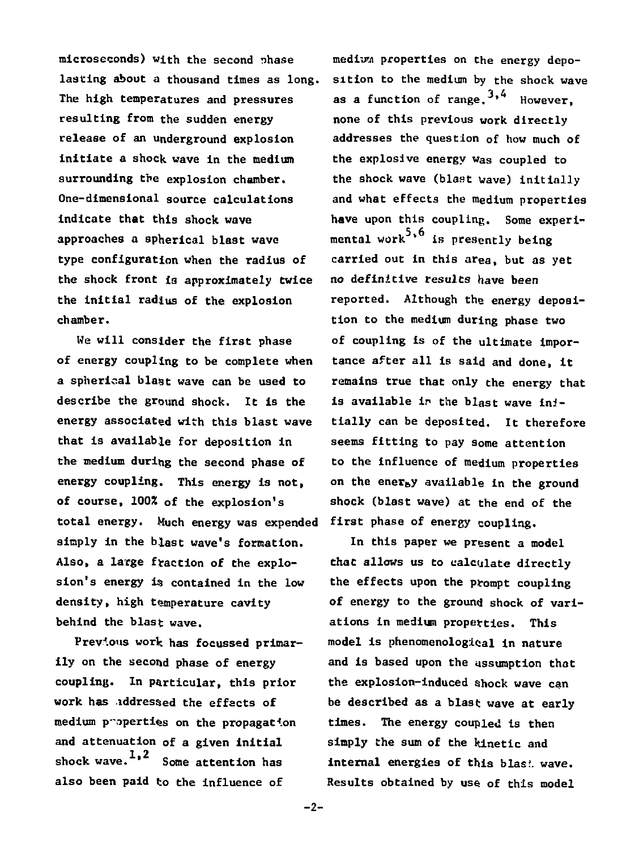**microseconds) with the second Tihase lasting about a thousand times as long. The high temperatures and pressures resulting from the sudden energy release of an underground explosion initiate a shock wave in the medium surrounding the explosion chamber. One-dimensional source calculations indicate that this shock wave approaches a spherical blast wave type configuration when the radius of the shock front is approximately twice the initial radius of the explosion chamber.** 

**We will consider the first phase of energy coupling to be complete when a spherical blast wave can be used to describe the ground shock. It is the energy associated with this blast wave that Is available for deposition in the medium during the second phase of energy coupling. This energy is not, of course, 100X of the explosion's total energy. Much energy was expended simply in the blast wave's formation. Also, a large fraction of the explosion's energy is contained in the low density, high temperature cavity behind the blast wave.** 

**Previous work has focussed primarily on the second phase of energy coupling. In particular, this prior work has iddressed the effects of medium p-operti^s on the propagation and attenuation of a given initial 1 2 shock wave. ' Some attention has also been paid to the influence of** 

**medium properties on the energy deposition to the medium by the shock wave**  as a function of range.  $3, 4$  However. **none of this previous work directly addresses the question of how much of the explosive energy was coupled to the shock wave (blast wave) initially and what effects the medium properties have upon this coupling. Some experimental work \* is presently being carried out in this area, but as yet no definitive results have been reported. Although the energy deposition to the medium during phase two of coupling is of the ultimate importance after all is said and done, it remains true that only the energy that**  is available in the blast wave ini**tially can be deposited. It therefore seems fitting to pay some attention to the influence of medium properties on the energy available in the ground shock (blast wave) at the end of the first phase of energy coupling.** 

**In this paper we present a model that allows us to calculate directly the effects upon the prompt coupling of energy to the ground shock of variations in medium properties. This model is phenomenological in nature and is based upon the assumption that the explosion-induced shock wave can be described as a blast wave at early times. The energy coupled is then simply the sum of the kinetic and internal energies of this bias!, wave. Results obtained by use of this model** 

**-2-**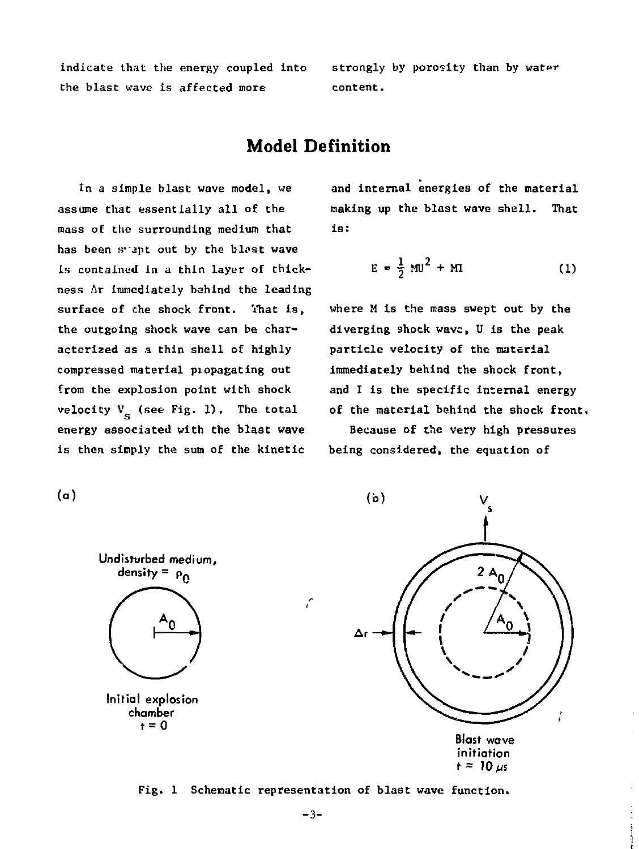**indicate that the energy coupled into the blast wave is affected more** 

**strongly by porosity than by water content.** 

# **Model Definition**

**In a simple blast: wave model, we assume that essentially all of the mass of the surrounding medium that**  has been syapt out by the blast wave **is contained in a thin layer of thickness Ar immediately behind the leading surface of Che shock front. Yhat is, the outgoing shock wave can be characterized as a thin shell of highly compressed material piopagating out from the explosion point with shock**  velocity  $V_c$  (see Fig. 1). The total **energy associated with the blast wave is then simply the sum of the kinetic** 

**and internal energies of the material making up the blast wave shell. That is:** 

$$
E = \frac{1}{2} M U^2 + M I
$$
 (1)

**where M is Che mass swept out by the diverging shock wave, U is the peak particle velocity of the material immediately behind the shock front, and I is the specific internal energy of the material behind the shock front.** 

**Because of the very high pressures being considered, the equation of** 

 $(b)$  $2A<sub>0</sub>$ Blast wave initiation

 $t \approx 10 \text{ ms}$ 

# **(a)**



Fig. 1 Schematic representation of blast wave function.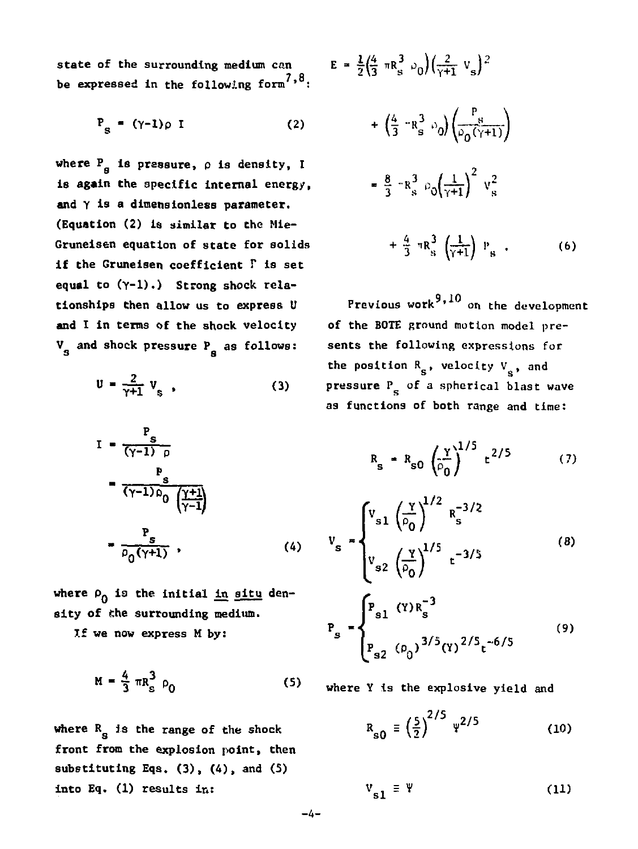state of the surrounding medium can  $E$ **be expressed in the following form 7,8.** 

$$
P_{S} = (\gamma - 1)\rho I \qquad (2)
$$

where  $P_a$  is pressure,  $\rho$  is density, I **is again the specific internal energy, and Y is a dimensionless parameter. (Equation (2) is similar to the Mle-Grunelsen equation of state for solids if the Gruneisen coefficient** *V* **is set equal to (Y-l).) Strong shock relationships Chen allow us to express U and I in terms of the shock velocity V and shock pressure P as follows:** 

$$
U = \frac{2}{\gamma + 1} V_{s} \quad , \tag{3}
$$

$$
I = \frac{P_s}{(\gamma - 1) \rho}
$$
  
\n
$$
= \frac{P_s}{(\gamma - 1) \rho_0} \frac{(\gamma + 1)}{(\gamma - 1)}
$$
  
\n
$$
= \frac{P_s}{\rho_0 (\gamma + 1)}, \qquad (4)
$$

where  $\rho_0$  is the initial in situ den**sity of the surrounding medium.** 

**If we now express M by:** 

$$
M = \frac{4}{3} \pi R_s^3 \rho_0
$$
 (5)

where R<sub>g</sub> is the range of the shock **front from the explosion point, then substituting Eqs. (3), (4), and (S) into Eq. (1) results in:** 

$$
= \frac{1}{2} \left(\frac{4}{3} \pi R_s^3 \right) \bigg( \frac{2}{\gamma + 1} v_s \bigg)^2
$$
  
+ 
$$
\left(\frac{4}{3} \pi R_s^3 \bigg) \bigg( \frac{P_s}{\rho_0 (\gamma + 1)} \bigg)
$$
  
= 
$$
\frac{8}{3} \pi R_s^3 \bigg( \rho_0 \bigg( \frac{1}{\gamma + 1} \bigg)^2 v_s^2
$$
  
+ 
$$
\frac{4}{3} \pi R_s^3 \bigg( \frac{1}{\gamma + 1} \bigg) v_s
$$
 (6)

Previous work<sup>9,10</sup> on the development of the BOTE ground motion model presents the following expressions for the position  $R_s$ , velocity  $V_s$ , and pressure  $P_{\mu}$  of a spherical blast wave as functions of both range and time:

$$
R_{s} = R_{s0} \left(\frac{y}{\rho_0}\right)^{1/5} t^{2/5} \qquad (7)
$$

$$
v_{s} = \begin{cases} v_{s1} \left(\frac{Y}{\rho_{0}}\right)^{1/2} R_{s}^{-3/2} \\ v_{s2} \left(\frac{Y}{\rho_{0}}\right)^{1/5} t^{-3/5} \end{cases}
$$
\n
$$
P_{s} = \begin{cases} P_{s1} (Y)R_{s}^{-3} \\ P_{s2} (\rho_{0})^{3/5} (Y)^{2/5} t^{-6/5} \end{cases}
$$
\n(9)

**where** Y **is** the explosive yield and

$$
R_{s0} \equiv \left(\frac{5}{2}\right)^{2/5} \, \Psi^{2/5} \tag{10}
$$

$$
V_{s1} \equiv \Psi \tag{11}
$$

**- 4 -**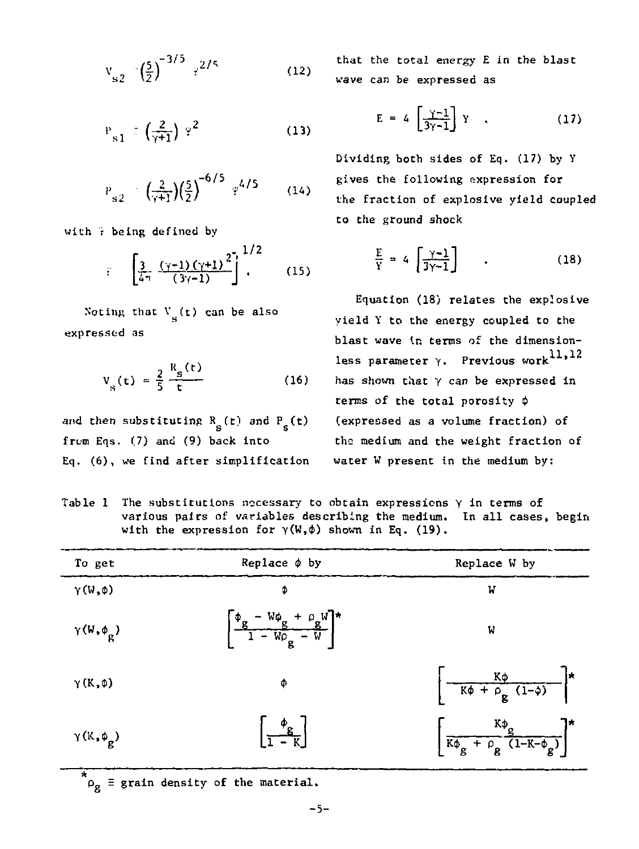$$
v_{s2} = \left(\frac{5}{2}\right)^{-3/5} r^{2/5}
$$
 (12)

$$
P_{s1} \equiv \left(\frac{2}{\gamma + 1}\right) \varphi^2 \tag{13}
$$

$$
P_{s2} = \left(\frac{2}{\gamma + 1}\right) \left(\frac{5}{2}\right)^{-6/5} \gamma^{4/5} \qquad (14)
$$

with 7 being defined by

$$
i = \left[\frac{3}{4\pi} \frac{(\gamma - 1)(\gamma + 1)^2}{(3\gamma - 1)}\right]^{1/2}.
$$
 (15)

Noting that  $V_a(t)$  can be also expressed as

$$
V_{S}(t) = \frac{2}{5} \frac{R_{S}(t)}{t}
$$
 (16)

and then substituting  $R_{\bf g}^{}$  (t) and  $P_{\bf g}^{}$  (t)  $$ from Eqs. (7) and (9) back into Eq. (6), we find after simplification

that the total energy E in the blast wave can be expressed as

$$
E = 4 \left[ \frac{\gamma - 1}{3\gamma - 1} \right] Y \quad , \tag{17}
$$

Dividing both sides of Eq. (17) by Y gives the following expression for the fraction of explosive yield coupled to the ground shock

$$
\frac{E}{Y} = 4 \left[ \frac{\gamma - 1}{3\gamma - 1} \right] \qquad . \tag{18}
$$

Equation (18) relates the explosive yield Y to the energy coupled to the blast wave in terms of the dimension-11.12 less parameter *y.* Previous work has shown that Y can be expressed in terms of the total porosity  $\phi$ (expressed as a volume fraction) of the medium and the weight fraction of water W present in the medium by:

Table 1 The substitutions necessary to obtain expressions *y* in terms of various pairs of variables describing the medium. In all cases, begin with the expression for  $\gamma(W,\phi)$  shown in Eq. (19).

| To get                     | Replace $\phi$ by                                                         | Replace W by                                                  |
|----------------------------|---------------------------------------------------------------------------|---------------------------------------------------------------|
| $Y(W,\phi)$                | Φ                                                                         | W                                                             |
| $\gamma(W, \phi_{\alpha})$ | $\left[\frac{\Phi_{g} - W\Phi_{g} + \rho_{g}W}{1 - W\rho_{g} - W}\right]$ | W                                                             |
| $\gamma(K,\phi)$           | Φ                                                                         | $\frac{K\phi}{K\phi + \rho_g}$ $(1-\phi)$ *                   |
| $\gamma(K,\phi_g)$         | $\frac{\phi_{g}}{1-\kappa}$                                               | $\left[\frac{K\phi_g}{K\phi_g + \rho_g(1-K-\phi_g)}\right]^*$ |

 $\tilde{\rho}_{\sigma}$  = grain density of the material.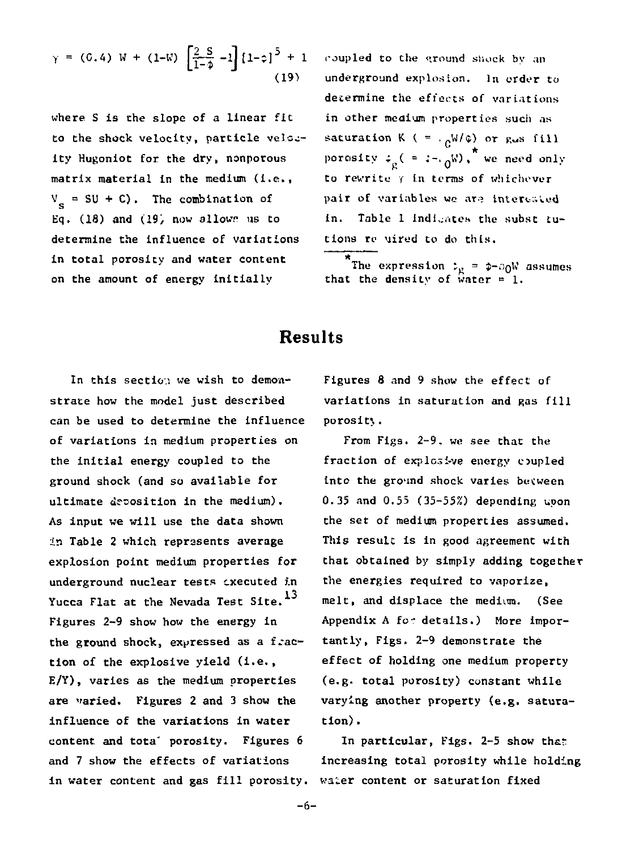$$
\gamma = (0.4) \text{ W} + (1-\text{W}) \left[ \frac{2 \text{ S}}{1-\phi} - 1 \right] \left[ 1-\phi \right]^5 + 1
$$
\n(19)

**where S is the slope of a linear fit to the shock velocity, particle velocity Hugoniot for the dry, nonporous matrix material in the medium (i.e., V = SU + C). The combination of**  Eq. (18) and (19) now allows us to **determine the influence of variations in total porosity and water content on the amount of energy initially** 

**roupled to the ground sliock by an underground explosion. In order to determine the effects of variations in other medium properties such as**  saturation K ( =  $\cdot$   $\alpha$ W/ $\phi$ ) or g<sub>w</sub>s fill **porosity**  $\varphi_{\alpha}$  ( =  $:-$ ,  $\alpha^{W}$ ), we need only **to rewrite y in terms of whichever**  pair of variables we are interested **in. Table 1 indicates the subsc tutions re Mired to do this.** 

 $^*$ The expression  $\ddot{x}_R = \phi + \partial_0 W$  assumes **that the density of water = 1.** 

## **Results**

**In this section we wish to demonstrate how the model just described can be used to determine the influence of variations in medium properties on the initial energy coupled to the ground shock (and so available for ultimate deposition in the medium). As input we will use the data shown in Table 2 which represents average explosion point medium properties for underground nuclear tests executed in 13 Yucca Flat at the Nevada Test Site. Figures 2-9 show how the energy in the ground shock, expressed as a fraction of the explosive yield (i.e., E/Y), varies as the medium properties are varied. Figures 2 and 3 show the influence of the variations in water content and tota' porosity. Figures 6 and 7 show the effects of variations in water content and gas fill porosity.** 

**Figures 8 and 9 show the effect of variations in saturation and gas fill porosit;,.** 

**From Figs. 2-9, we see that the fraction of explosive energy coupled into the ground shock varies becween 0.35 and 0.55 (35-55%) depending upon the set of medium properties assumed. This result is in good agreement with that obtained by simply adding together the energies required to vaporize, melt, and displace the medium. (See**  Appendix A for details.) More impor**tantly, Figs. 2-9 demonstrate the effect of holding one medium property (e.g. total porosity) constant while varying another property (e.g. saturation) .** 

In particular, Figs. 2-5 show that **increasing total porosity while holding waler content or saturation fixed**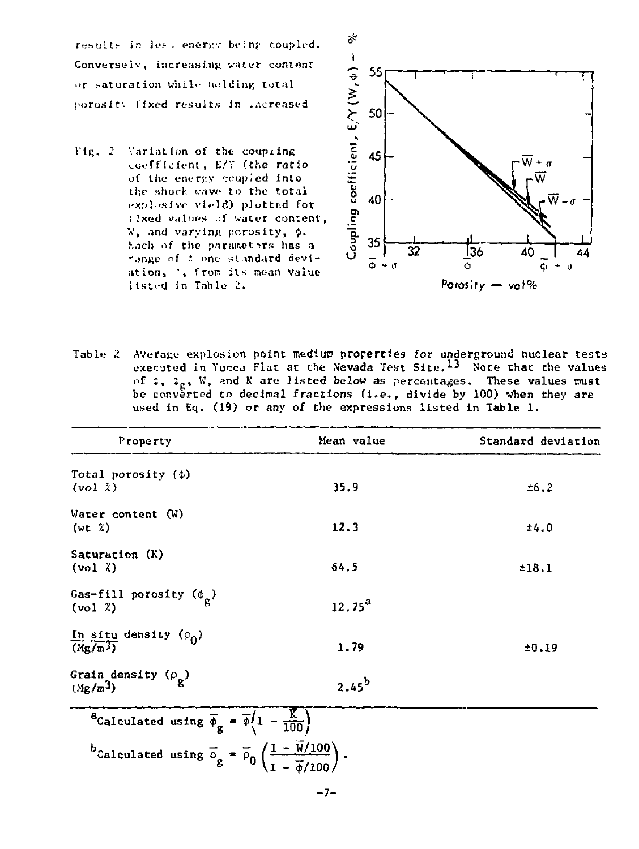results in less energy being coupled. Conversely, increasing water content or saturation while holding total porosity fixed results in .acreased

Fig. 2 Variation of the coupling coefficient, E/Y (the ratio of the energy coupled into the shock wave to the total explosive vield) plotted for fixed values of water content, W, and varving porosity, \$. Each of the parameters has a range of t one standard deviation, ', from its mean value itsted in Table 2.



Table 2 Average explosion point medium properties for underground nuclear tests executed in Yucca Flat at the Nevada Test Site.<sup>13</sup> Note that the values of  $z$ ,  $z_{g}$ , W, and K are listed below as percentages. These values must be converted to decimal fractions (i.e., divide by 100) when they are used in Eq. (19) or any of the expressions listed in Table 1.

| Property                                                                                                                        | Mean value | Standard deviation |
|---------------------------------------------------------------------------------------------------------------------------------|------------|--------------------|
| Total porosity (\$)<br>(vol <sub>x</sub> )                                                                                      | 35.9       | ±6.2               |
| Water content $(W)$<br>(wt <sub>k</sub> )                                                                                       | 12.3       | 14.0               |
| Saturation (K)<br>$(v_0 1 \t 1)$                                                                                                | 64.5       | 118.1              |
| Gas-fill porosity $(\phi_{\alpha})$<br>$(vo1 \tL)$                                                                              | $12.75^a$  |                    |
| In situ density $(\rho_0)$<br>$(Mg/m^3)$                                                                                        | 1.79       | ±0.19              |
| Grain density $(\rho_{\mathbf{p}})$<br>$(Mg/m^3)$                                                                               | $2.45^b$   |                    |
| <sup>a</sup> Calculated using $\overline{\phi}_g = \overline{\phi} \left( 1 - \frac{\overline{K}}{100} \right)$                 |            |                    |
| bCalculated using $\overline{\rho}_g = \overline{\rho}_0 \left( \frac{1 - \overline{W}/100}{1 - \overline{\phi}/100} \right)$ . |            |                    |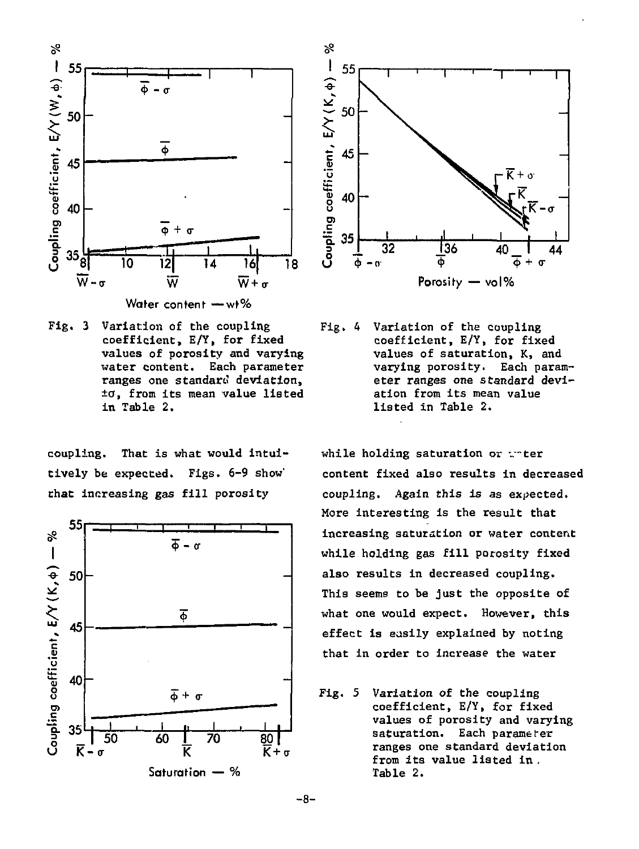

Water content - wt%

Fig, 3 Variation of the coupling coefficient, E/Y, for fixed values of porosity and varying water content. Each parameter ranges one standard deviation, *to,* from its mean value listed in Table 2.

coupling. That is what would intuitively be expected. Figs. 6-9 show' that increasing gas fill porosity





Fig. 4 Variation of the coupling coefficient, E/Y, for fixed values of saturation, K, and varying porosity. Each parameter ranges one standard deviation from its mean value listed in Table 2.

while holding saturation or wrter content fixed also results in decreased coupling. Again this is as expected. More interesting is the result that increasing saturation or water content while holding gas fill porosity fixed also results in decreased coupling. This seems to be just the opposite of what one would expect. However, this effect is easily explained by noting that in order to increase the water

Fig. 5 Variation of the coupling coefficient, E/Y, for fixed values of porosity and varying saturation. Each parameter ranges one standard deviation from its value listed in . Table 2.

 $-8-$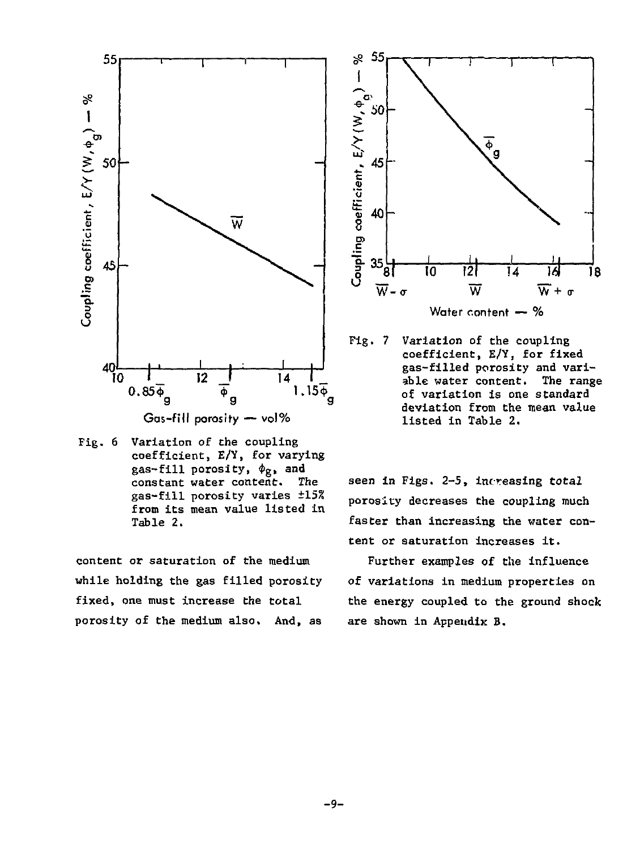

Fig. 6 Variation of the coupling coefficient, E/Y, for varying gas-fill porosity,  $\phi_{\alpha}$ , and constant water content. The gas-fill porosity varies ±15% from its mean value listed in Table 2.

content or saturation of the medium while holding the gas filled porosity fixed, one must increase the total porosity of the medium also. And, as



 $Fig. 7$ Variation of the coupling coefficient, E/Y, for fixed gas-filled porosity and variable water content. The range of variation is one standard deviation from the mean value listed in Table 2.

seen in Figs. 2-5, increasing total porosity decreases the coupling much faster than increasing the water content or saturation increases it.

Further examples of the influence of variations in medium properties on the energy coupled to the ground shock are shown in Appendix B.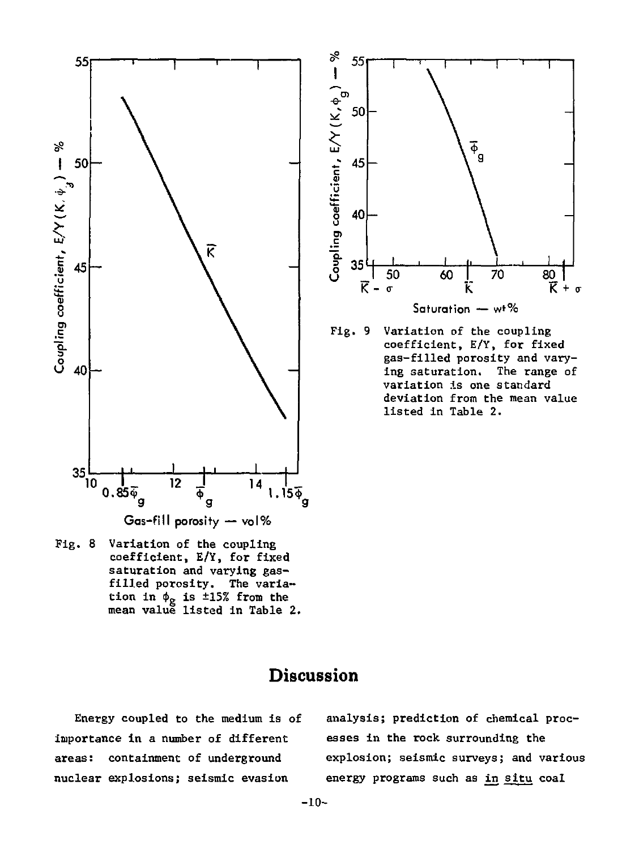



Fig. 9 Variation of the coupling coefficient, E/Y, for fixed gas-filled porosity and varying saturation. The range of variation is one standard deviation from the mean value listed in Table 2.

Fig. 8 Variation of the coupling coefficient, E/Y, for fixed saturation and varying gasfilled porosity. The variation in  $\phi_{\varphi}$  is ±15% from the mean value listed in Table 2.

# Discussion

Energy coupled to the medium is of importance in a number of different areas: containment of underground nuclear explosions; seismic evasion

analysis; prediction of chemical processes in the rock surrounding the explosion; seismic surveys; and various energy programs such as *ta* situ coal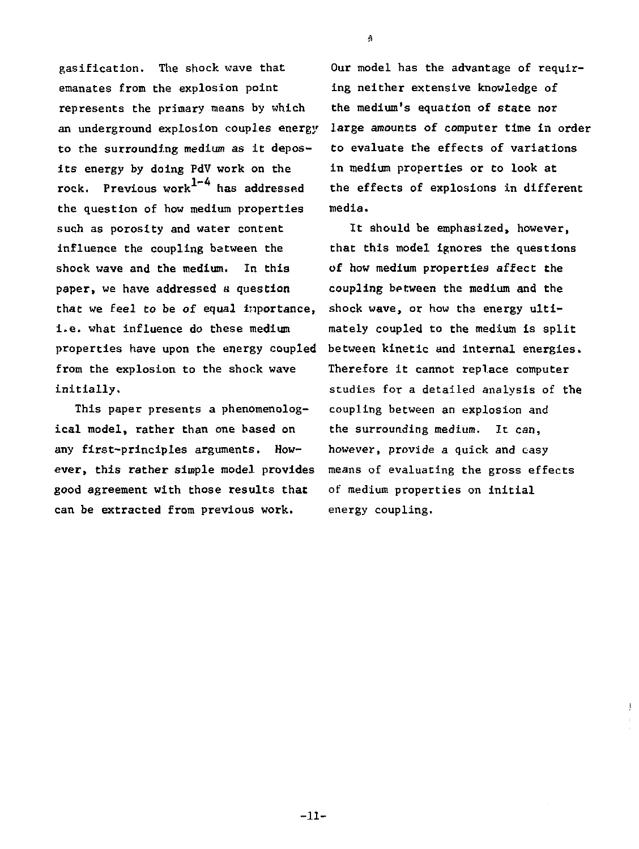gasification. The shock wave that emanates from the explosion point represents the primary means by which an underground explosion couples energy to the surrounding medium as it deposits energy by doing PdV work on the rock. Previous work $1-4$  has addressed the question of how medium properties such as porosity and water content influence the coupling between the shock wave and the medium. In this paper, we have addressed a question that we feel to be of equal inportance, i.e. what influence do these medium properties have upon the energy coupled from the explosion to the shock wave initially.

This paper presents a phenomenological model, rather than one based on any first-principles arguments. However, this rather simple model provides good agreement with those results that can be extracted from previous work.

Our model has the advantage of requiring neither extensive knowledge of the medium's equation of state nor large amounts of computer time in order to evaluate the effects of variations in medium properties or to look at the effects of explosions in different media.

It should be emphasized, however, that this model ignores the questions of how medium properties affect the coupling between the medium and the shock wave, or how the energy ultimately coupled to the medium is split between kinetic and internal energies. Therefore it cannot replace computer studies for a detailed analysis of the coupling between an explosion and the surrounding medium. It can, however, provide a quick and easy means of evaluating the gross effects of medium properties on initial energy coupling.

3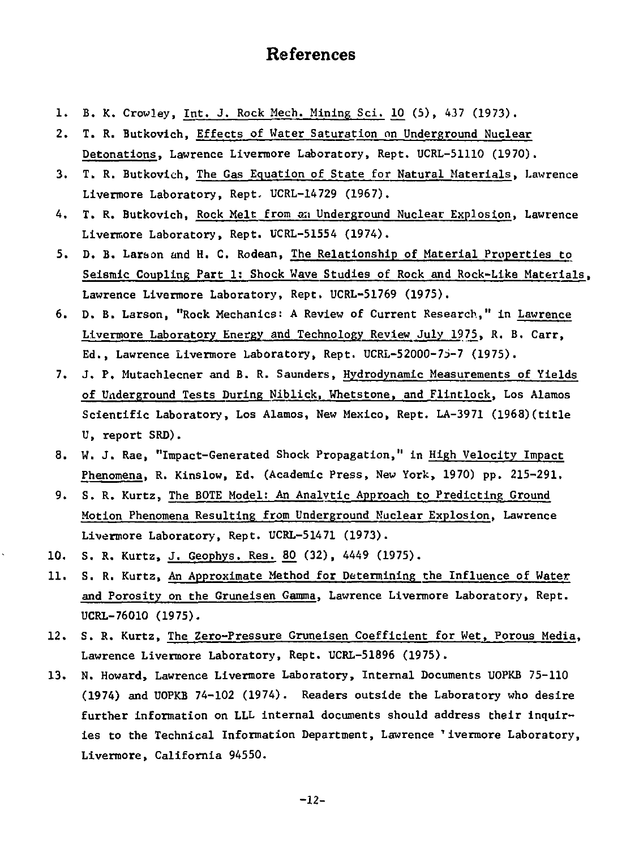# References

- 1. B. K. Crowley, Int. J. Rock Mech. Mining Sci. 10 (5), 437 (1973).
- 2. T. R. Butkovlch, Effects of Water Saturation on Underground Nuclear Detonations, Lawrence Livermore Laboratory, Rept. UCRL-51110 (1970).
- 3. T. R. Butkovich, The Gas Equation of State for Natural Materials, Lawrence Livermore Laboratory, Rept. UCRL-14729 (1967).
- 4. T. R. Butkovich, Rock Melt from aii Underground Nuclear Explosion, Lawrence Livermore Laboratory, Rept. UCRL-51554 (1974).
- 5. D. B. Larson and H. C. Rodean, The Relationship of Material Properties to Seismic Coupling Part 1: Shock Wave Studies of Rock and Rock-Like Materials, Lawrence Livermore Laboratory, Rept. UCRL-51769 (1975).
- 6. D. B. Larson, "Rock Mechanics: A Review of Current Research," in Lawrence Livermore Laboratory Energy and Technology Review July 1975, R. B. Carr, Ed., Lawrence Livermore Laboratory, Rept. UCRL-52000-75-7 (1975).
- 7. J. P. Mutachlecner and B. R. Saunders, Hydrodynamic Measurements of Yields of Underground Tests During Niblick, Whetstone, and Flintlock, Los Alamos Scientific Laboratory, Los Alamos, New Mexico, Rept. LA-3971 (1968)(title U, report SRD).
- 8. W. J. Rae, "Impact-Generated Shock Propagation," in High Velocity Impact Phenomena, R. Kinslow, Ed. (Academic Press, New York, 1970) pp. 215-291.
- 9. S. R. Kurtz, The BOTE Model: An Analytic Approach to Predicting Ground Motion Phenomena Resulting from Underground Nuclear Explosion, Lawrence Livermore Laboratory, Rept. UCRL-51471 (1973).
- 10. S. R. Kurtz, J. Geophys. Res. 80 (32), 4449 (1975).
- 11. S. R. Kurtz, An Approximate Method for Determining the Influence of Water and Porosity on the Gruneisen Gamma, Lawrence Livermore Laboratory, Rept. UCRL-76010 (1975).
- 12. S. R. Kurtz, The Zero-Pressure Gruneisen Coefficient for Wet, Porous Media, Lawrence Livermore Laboratory, Rept. UCRL-51896 (1975).
- 13. N. Howard, Lawrence Livermore Laboratory, Internal Documents UOPKB 75-110 (1974) and UOPKB 74-102 (1974). Readers outside the Laboratory who desire further information on LLL internal documents should address their inquiries to the Technical Information Department, Lawrence 'ivermore Laboratory, Livermore, California 94550.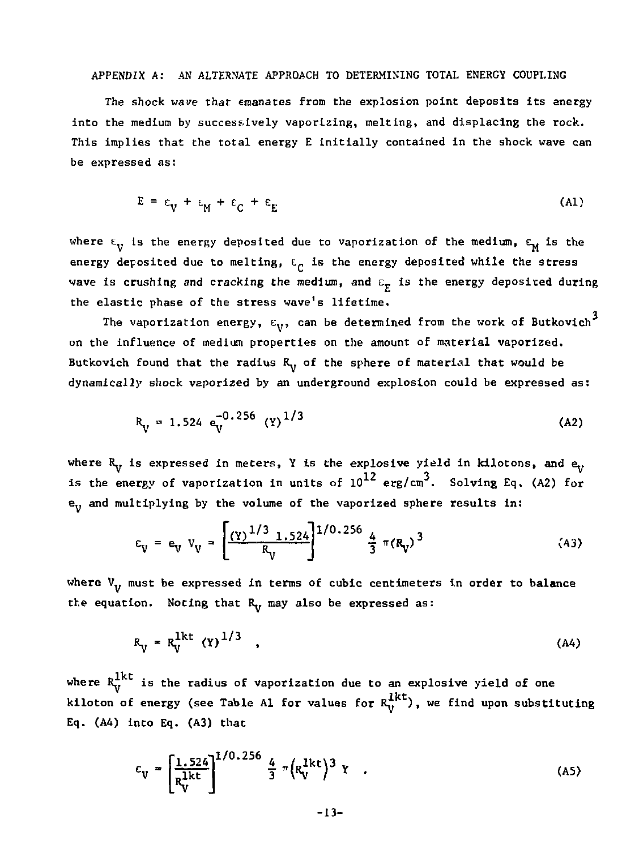#### APPENDIX A: AN ALTERNATE APPROACH TO DETERMINING TOTAL ENERGY COUPLING

The shock wave that emanates from the explosion point deposits its energy into the medium by successively vaporizing, melting, and displacing the rock. This implies that the total energy E initially contained in the shock wave can be expressed as:

$$
E = \varepsilon_V + \varepsilon_M + \varepsilon_C + \varepsilon_E \tag{A1}
$$

where  $\epsilon_{ij}$  is the energy deposited due to vaporization of the medium,  $\epsilon_{ij}$  is the energy deposited due to melting,  $E_C$  is the energy deposited while the stress wave is crushing and cracking the medium, and  $\varepsilon_r$  is the energy deposited during the elastic phase of the stress wave's lifetime.

The vaporization energy,  $\epsilon_{\rm{v}},$  can be determined from the work of Butkovich $^3$ on the influence of medium properties on the amount of material vaporized. Butkovich found that the radius  $R_v$ , of the sphere of material that would be dynamically shock vaporized by an underground explosion could be expressed as:

$$
R_{V} = 1.524 \, \text{e}_{V}^{-0.256} \, (Y)^{1/3} \tag{A2}
$$

where  $R_{\gamma}$  is expressed in meters, Y is the explosive yield in kilotons, and  $e_{\gamma}$ is the energy of vaporization in units of  $10^{12}$  erg/cm<sup>3</sup>. Solving Eq. (A2) for  $e_{ii}$  and multiplying by the volume of the vaporized sphere results in:

$$
\varepsilon_{\mathbf{V}} = \mathbf{e}_{\mathbf{V}} \ \mathbf{V}_{\mathbf{V}} = \left[ \frac{(\mathbf{Y})^{1/3} \ 1.524}{R_{\mathbf{V}}} \right]^{1/0.256} \frac{4}{3} \ \pi (R_{\mathbf{V}})^3 \tag{43}
$$

where  $V_{\nu}$  must be expressed in terms of cubic centimeters in order to balance the equation. Noting that  $R_{ij}$  may also be expressed as:

$$
R_V = R_V^{\text{1kt}} (Y)^{1/3} \quad , \tag{A4}
$$

where  $R_V^{1kt}$  is the radius of vaporization due to an explosive yield of one kiloton of energy (see Table Al for values for  $R_V^{1kt}$ ), we find upon substituting Eq.  $(A4)$  into Eq.  $(A3)$  that

$$
\varepsilon_{V} = \left[\frac{1.524}{R_{V}^{1kt}}\right]^{1/0.256} \frac{4}{3} \pi \left(R_{V}^{1kt}\right)^{3} Y \quad . \tag{A5}
$$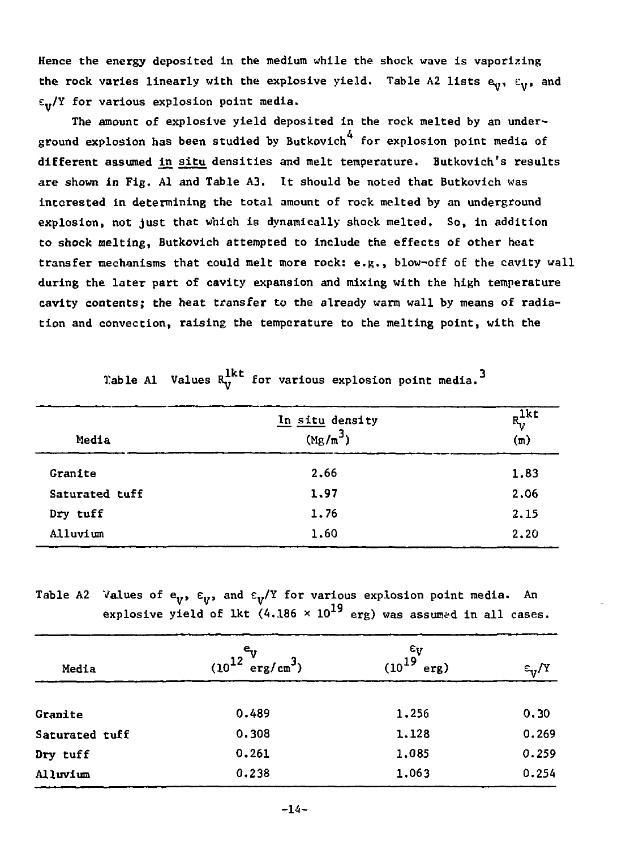**Hence the energy deposited in Che medium while the shock wave is vaporizing**  the rock varies linearly with the explosive yield. Table A2 lists  $e_y$ ,  $e_y$ , and **E../Y for various explosion point media.** 

**The amount of explosive yield deposited in the rock melted by an under-4 ground explosion has been studied by Butkovich for explosion point media of different assumed ^n situ densities and melt temperature. Butkovich's results are shown in Fig. Al and Table A3. It should be noted that Butkovich was interested in determining the total amount of rock melted by an underground explosion, not just that which is dynamically shock melted. So, in addition to shock melting, Butkovich attempted to include the effects of other heat transfer mechanisms that could melt more rock: e.g., blow-off of the cavity wall during the later part of cavity expansion and mixing with the high temperature cavity contents; the heat transfer to the already warm wall by means of radiation and convection, raising the temperature to the melting point, with the** 

| Media          | In situ density<br>$(Mg/m^3)$ | $R_V^{\text{1kt}}$<br>$(\pi)$ |  |  |
|----------------|-------------------------------|-------------------------------|--|--|
| Granite        | 2.66                          | 1.83                          |  |  |
| Saturated tuff | 1.97                          | 2.06                          |  |  |
| Dry tuff       | 1.76                          | 2.15                          |  |  |
| Alluvium       | 1.60                          | 2.20                          |  |  |

**Table Al Values**  $R_V^{1kt}$  **for various explosion point media.<sup>3</sup>** 

Table A2 Values of  $e_y$ ,  $\varepsilon_y$ , and  $\varepsilon_y$ /Y for various explosion point media. An explosive yield of lkt  $(4.186 \times 10^{19}$  erg) was assumed in all cases.

| Media          | $(10^{12})$<br>$erg/cm^3$ | $\begin{smallmatrix} & & & \epsilon_V \\ & & & 19 \\ \epsilon_{10} & & & \end{smallmatrix}$<br>erg) | $\epsilon_{\rm v}/T$ |
|----------------|---------------------------|-----------------------------------------------------------------------------------------------------|----------------------|
| Granite        | 0.489                     | 1,256                                                                                               | 0.30                 |
| Saturated tuff | 0.308                     | 1.128                                                                                               | 0.269                |
| Dry tuff       | 0.261                     | 1.085                                                                                               | 0.259                |
| Alluvium       | 0.238                     | 1.063                                                                                               | 0.254                |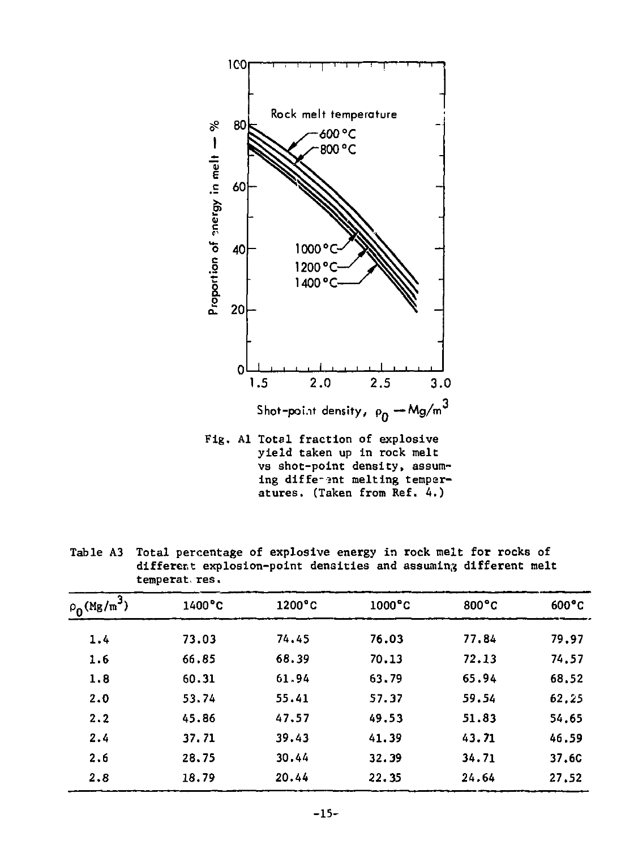

Fig. Al Total fraction of explosive yield taken up in rock melt vs shot-point density, assuming diffe-2nt melting temperatures. (Taken from Ref. 4.)

Table A3 Total percentage of explosive energy in rock melt for rocks of different explosion-point densities and assuming different melt temperat res.

| $\rho_0(Mg/m^3)$ | 1400°C | $1200^{\circ}$ C | $1000^{\circ}$ C | $800^{\circ}$ C | $600^{\circ}$ C |
|------------------|--------|------------------|------------------|-----------------|-----------------|
| 1.4              | 73.03  | 74.45            | 76.03            | 77.84           | 79.97           |
| 1.6              | 66.85  | 68.39            | 70.13            | 72.13           | 74.57           |
| 1.8              | 60.31  | 61.94            | 63.79            | 65.94           | 68.52           |
| 2.0              | 53.74  | 55.41            | 57.37            | 59.54           | 62.25           |
| 2.2              | 45.86  | 47.57            | 49.53            | 51.83           | 54.65           |
| 2.4              | 37.71  | 39.43            | 41.39            | 43.71           | 46.59           |
| 2.6              | 28.75  | 30.44            | 32.39            | 34.71           | 37.6C           |
| 2.8              | 18.79  | 20.44            | 22.35            | 24.64           | 27.52           |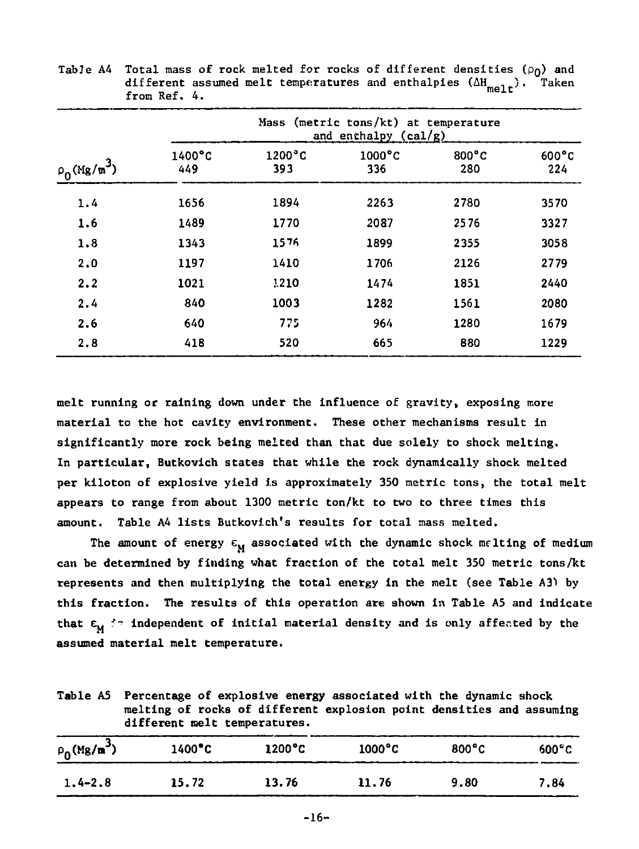|                  |                         |                         | Mass (metric tons/kt) at temperature<br>and enchalpy (cal/g) |                        |                        |
|------------------|-------------------------|-------------------------|--------------------------------------------------------------|------------------------|------------------------|
| $\rho_0(Mg/m^3)$ | $1400^{\circ}$ C<br>449 | $1200^{\circ}$ C<br>393 | $1000^{\circ}$ C<br>336                                      | $800^{\circ}$ C<br>280 | $600^{\circ}$ C<br>224 |
| 1.4              | 1656                    | 1894                    | 2263                                                         | 2780                   | 3570                   |
| 1.6              | 1489                    | 1770                    | 2087                                                         | 2576                   | 3327                   |
| 1.8              | 1343                    | 1576                    | 1899                                                         | 2355                   | 3058                   |
| 2.0              | 1197                    | 1410                    | 1706                                                         | 2126                   | 2779                   |
| 2.2              | 1021                    | 1210                    | 1474                                                         | 1851                   | 2440                   |
| 2.4              | 840                     | 1003                    | 1282                                                         | 1561                   | 2080                   |
| 2.6              | 640                     | 775                     | 964                                                          | 1280                   | 1679                   |
| 2,8              | 418                     | 520                     | 665                                                          | 880                    | 1229                   |

**Table A4 Total mass of rock melted for rocks of different densities (pg) and**  different assumed melt temperatures and enthalpies ( $\Delta H_{\rm mell}$ ). Taken  $f$ 

**melt running or raining down under the influence of gravity, exposing more material to the hot cavity environment. These other mechanisms result in significantly more rock being melted than that due solely** *to* **shock melting. In particular, Butkovich states that while the rock dynamically shock melted per kiloton of explosive yield is approximately 350 metric tons, the total melt appears to range from about 1300 metric ton/kt to two to three times this amount. Table A4 lists Butkovich's results for total mass melted.** 

The amount of energy  $\epsilon_{\mathbf{M}}$  associated with the dynamic shock melting of medium **can be determined by finding what fraction of the total melt 350 metric tons/kt represents and then multiplying the total energy in the melt (see Table A3) by this fraction. The results of this operation are shown in Table A5 and indicate**  that  $\epsilon_{ij}$   $\approx$  independent of initial material density and is only affected by the **assumed material melt temperature.** 

**Table A5 Percentage of explosive energy associated with the dynamic shock melting of rocks of different explosion point densities and assuming different melt temperatures.** 

| $\rho_0(Mg/m^3)$ | $1400^{\circ}$ C | $1200^{\circ}$ C | $1000^{\circ}$ C | $800^{\circ}$ C | $600^{\circ}$ C |
|------------------|------------------|------------------|------------------|-----------------|-----------------|
| $1.4 - 2.8$      | 15.72            | 13.76            | 11.76            | 9.80            | 7.84            |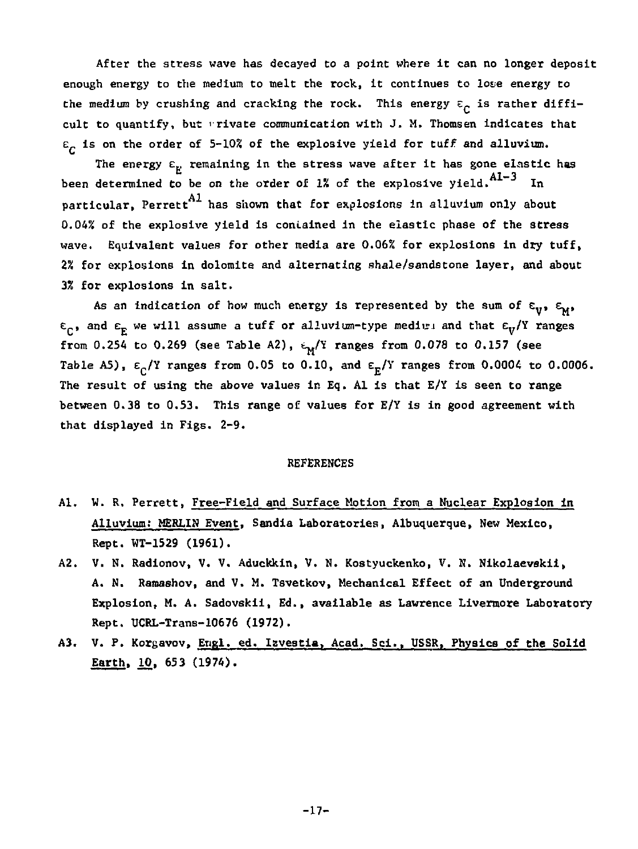**After the stress wave has decayed to a point where It can no longer deposit enough energy to the medium to melt the rock, it continues to lote energy to**  the medium by crushing and cracking the rock. This energy  $\varepsilon_{\rho}$  is rather difficult to quantify, but *rivate communication with* J. M. Thomsen indicates that **£ is on the order of 5-102 of the explosive yield for tuff and alluvium.** 

**The energy £., remaining in the stress wave after it has gone elastic has**  been determined to be on the order of 1% of the explosive yield. Al-3 In **particular, Perrett has shown that for explosions in alluvium only about 0.042 of the explosive yield is contained in the elastic phase of the stress wave. Equivalent values for other media are 0.06% for explosions in dry tuff, 2% for explosions in dolomite and alternating shale/sandstone layer, and about 3% for explosions in salt.** 

As an indication of how much energy is represented by the sum of  $\varepsilon_{\mathbf{v}}$ ,  $\varepsilon_{\mathbf{w}}$ ,  $\varepsilon_c$ , and  $\varepsilon_F$  we will assume a tuff or alluvium-type medium and that  $\varepsilon_v$ /Y ranges **from 0.254 to 0.269 (see Table A2),** *t-/l* **ranges from 0.078 to 0,157 (see**  Table A5),  $\varepsilon_c$ /Y ranges from 0.05 to 0.10, and  $\varepsilon_{\rm r}$ /Y ranges from 0.0004 to 0.0006. **The result of using the above values in Eq. Al is that E/Y is seen to range between 0.38 to 0.53. This range of values for E/Y is in good agreement with that displayed in Figs. 2-9.** 

#### **REFERENCES**

- **Al. W. R. Perrett, Free-Field and Surface Motion from a Nuclear Explosion in Alluvium: MERLIN Event, Sandia Laboratories, Albuquerque, New Mexico, Rept. WT-1529 (1961).**
- **A2. V. N. Radionov, V. V. Aduckkin, V. N. Kostyuckenko, V. H. Nikolaevskii, A. N. Ramashov, and V. M. Tsvetkov, Mechanical Effect of an Underground Explosion, M. A. Sadovskii, Ed., available as Lawrence Livermore Laboratory Rept. UCRL-Trans-10676 (1972).**
- **A3. V. P. Korsavov, Engl, ed. Izvestia, Acad. Sci., USSR, Physics of the Solid Earth, 10, 653 (1974).**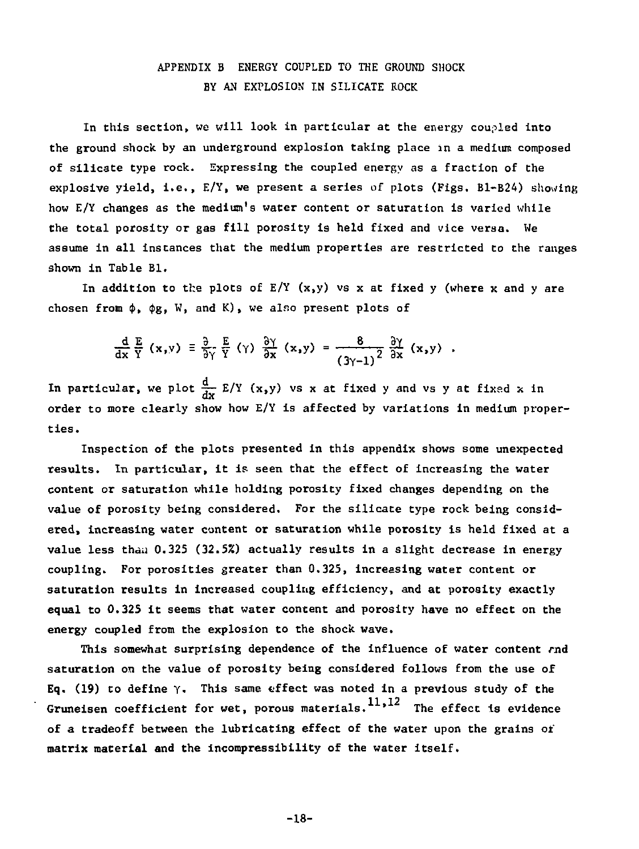#### **APPENDIX B ENERGY COUPLED TO THE GROUND SHOCK BY AN EXPLOSION IN SILICATE ROCK**

**In this section, we will look in particular at the energy coupled into the ground shock by an underground explosion taking place in a medium composed of silicate type rock. Expressing the coupled energy as a fraction of the explosive yield, i.e., E/Y, we present a series of plots (Figs. B1-B24) showing how E/Y changes as the medium'9 water content or saturation is varied while the total porosity or gas fill porosity is held fixed and vice versa. We assume in all instances that the medium properties are restricted to the ranges shown in Table Bl.** 

In addition to the plots of  $E/Y$   $(x,y)$  vs x at fixed y (where x and y are chosen from  $\phi$ ,  $\phi$ g, W, and K), we also present plots of

$$
\frac{d}{dx}\frac{E}{Y}(x,y) = \frac{\partial}{\partial y}\frac{E}{Y}(y)\frac{\partial Y}{\partial x}(x,y) = \frac{8}{(3y-1)^2}\frac{\partial Y}{\partial x}(x,y)
$$

In particular, we plot  $\frac{d}{dx} E/Y(x,y)$  vs x at fixed y and vs y at fixed x in **order to more clearly show how E/Y is affected by variations in medium properties.** 

**Inspection of the plots presented in this appendix shows some unexpected results. In particular, it is seen that the effect of increasing the water content or saturation while holding porosity fixed changes depending on the value of porosity being considered. For the silicate type rock being considered, increasing water content or saturation while porosity is held fixed at a value less tha.i 0.32S (32.5%) actually results in a slight decrease in energy coupling. For porosities greater than 0.325, increasing water content or saturation results in increased coupling efficiency, and at porosity exactly equal to 0.325 it seems that water content and porosity have no effect on the energy coupled from the explosion to the shock wave.** 

**This somewhat surprising dependence of the influence of water content rod saturation on the value of porosity being considered follows from the use of Eq. (19) to define Y. This same effect was noted in a previous study of the**  Gruneisen coefficient for wet, porous materials.<sup>11,12</sup> The effect is evidence **of a tradeoff between the lubricating effect of the water upon the grains or' matrix material and the incompressibility of the water itself.** 

**-18-**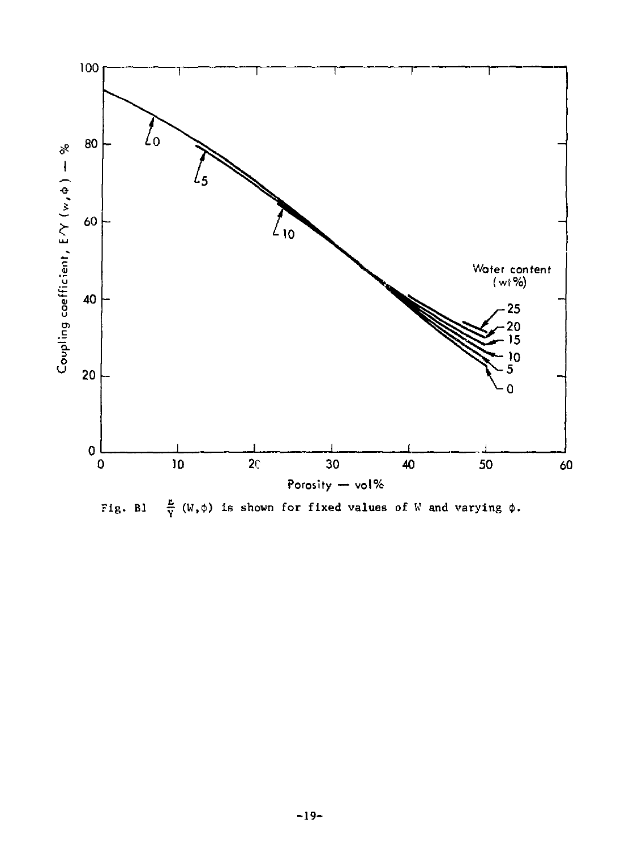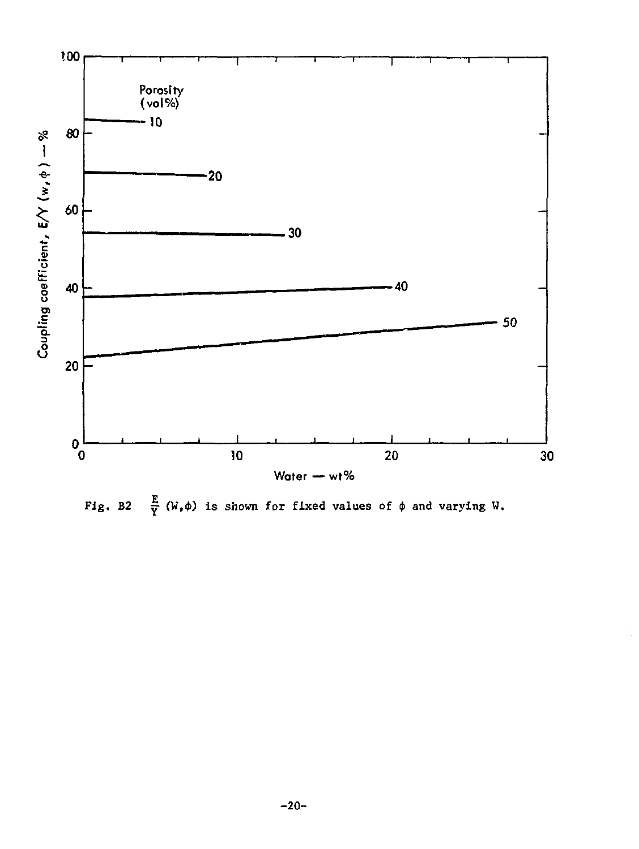

 $\frac{E}{Y}$  (W,  $\phi$ ) is shown for fixed values of  $\phi$  and varying W. Fig. B2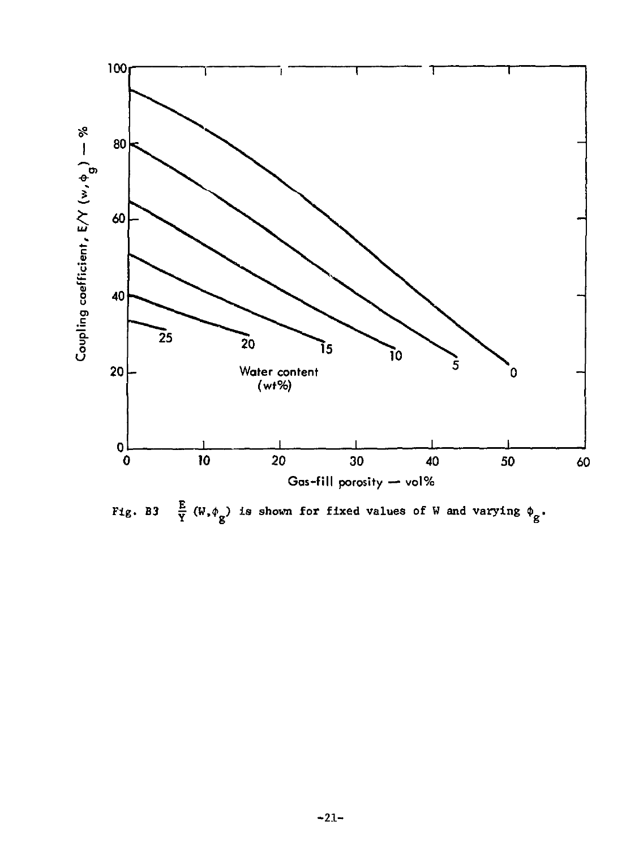

Fig. B3  $\frac{E}{Y}$  (W,  $\phi_g$ ) is shown for fixed values of W and varying  $\phi_g$ .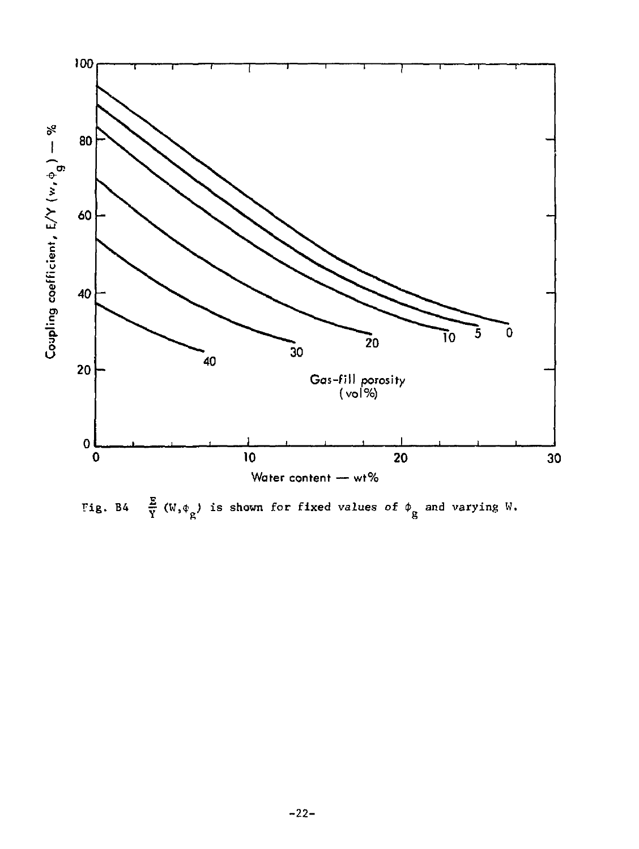

Fig. B4  $\frac{E}{Y}$  (W,  $\phi_{g}$ ) is shown for fixed values of  $\phi_{g}$  and varying W.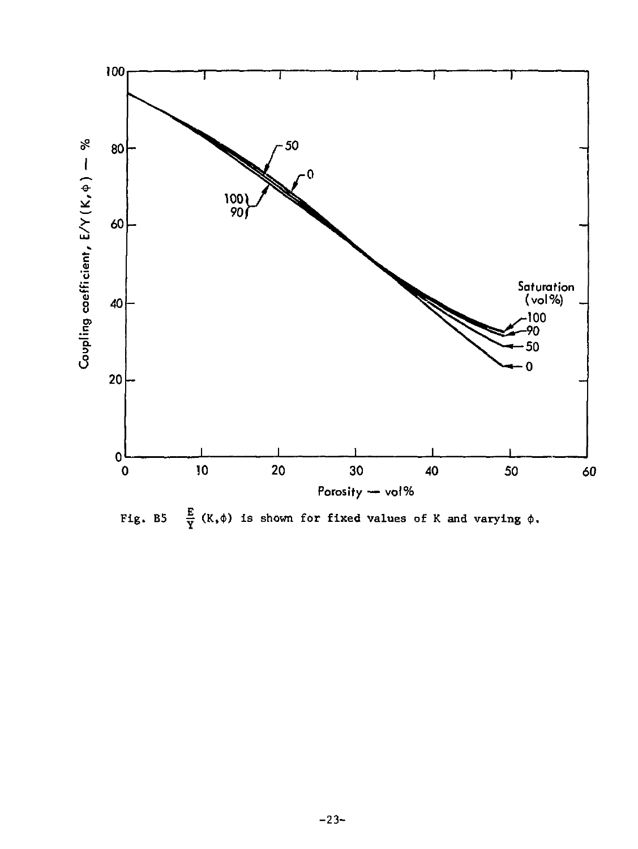

 $\frac{E}{Y}$  (K,  $\phi$ ) is shown for fixed values of K and varying  $\phi$ . Fig. B5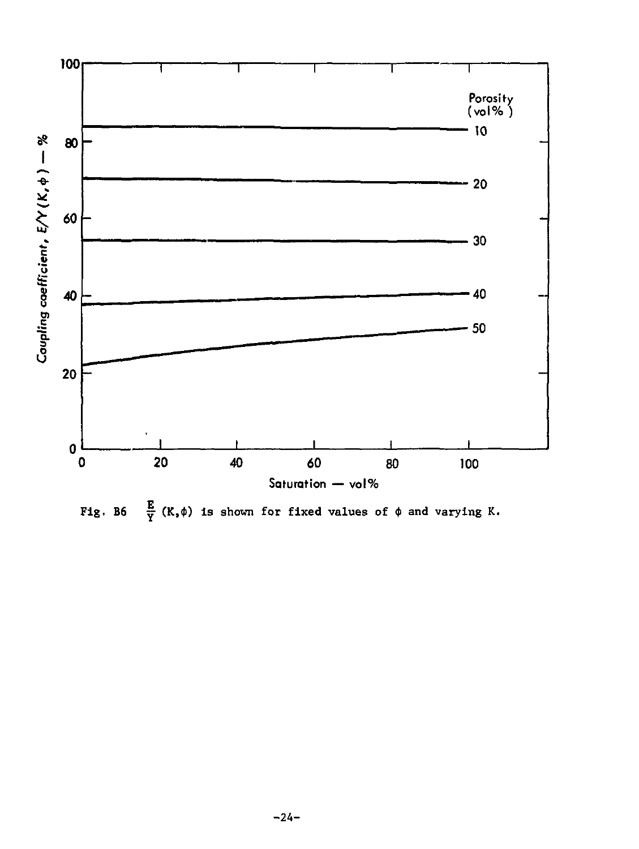

Fig. B6  $\frac{E}{Y}(K,\phi)$  is shown for fixed values of  $\phi$  and varying K.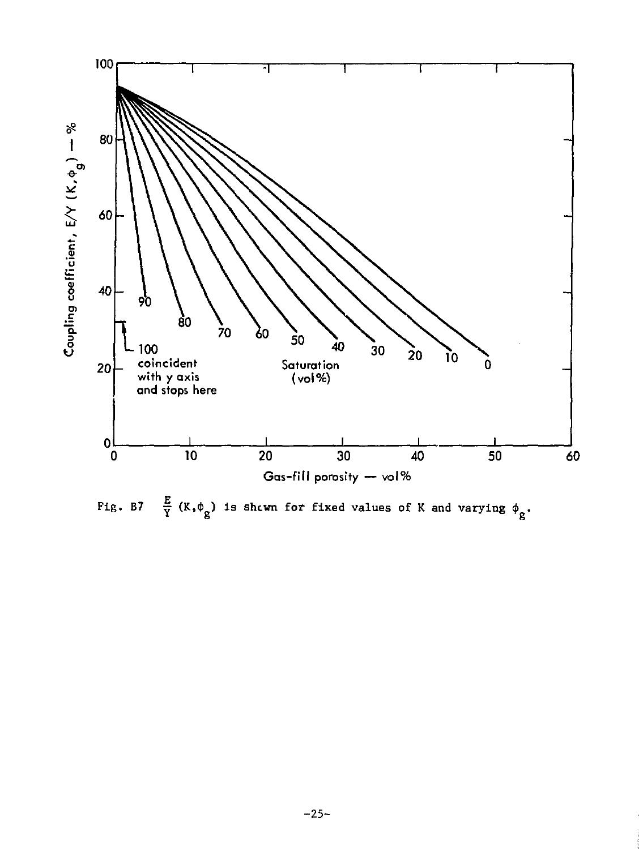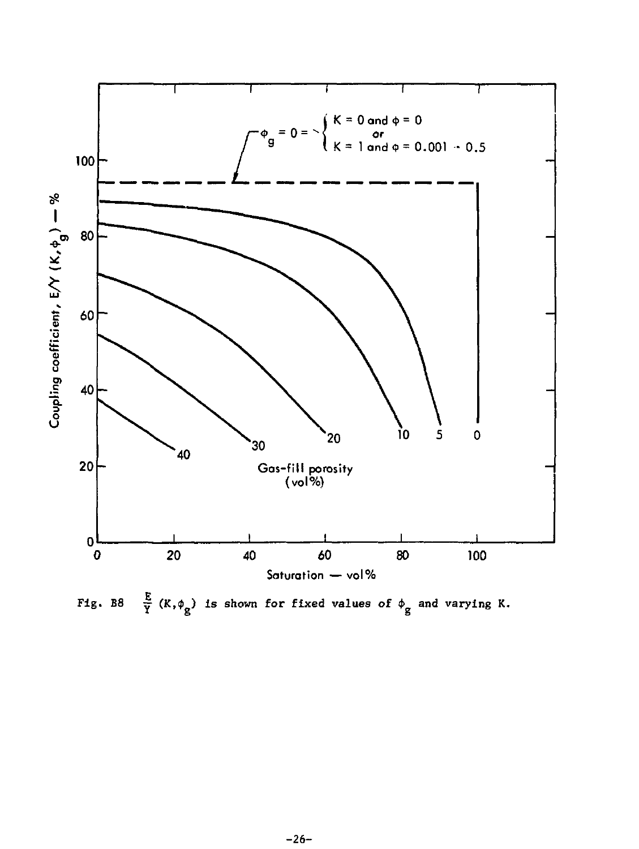

Fig. B8  $\frac{E}{Y}$  (K,  $\phi_{g}$ ) is shown for fixed values of  $\phi_{g}$  and varying K.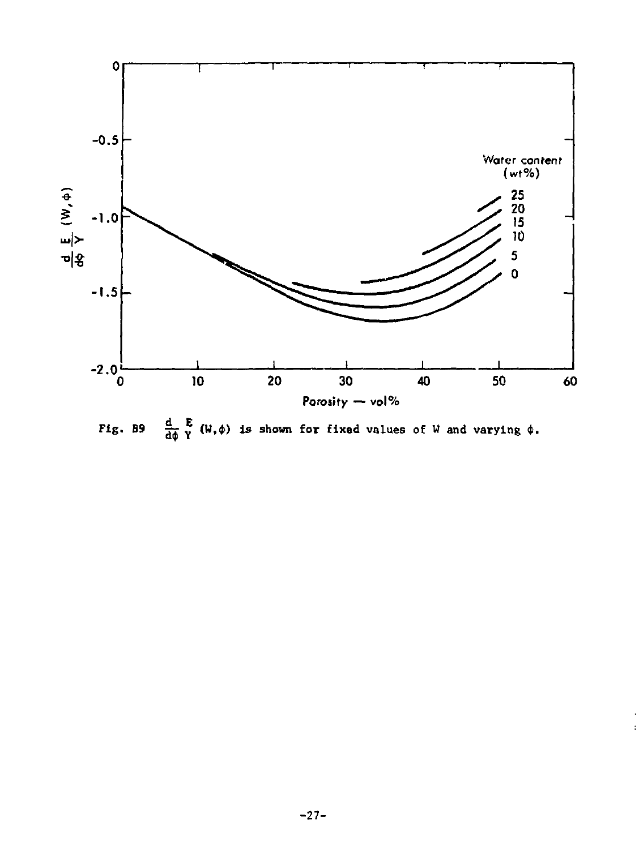

 $\frac{d}{d\phi} \sum_{i=1}^{n} (\psi, \phi)$  is shown for fixed values of W and varying  $\phi$ . Fig. B9

 $\mathbf i$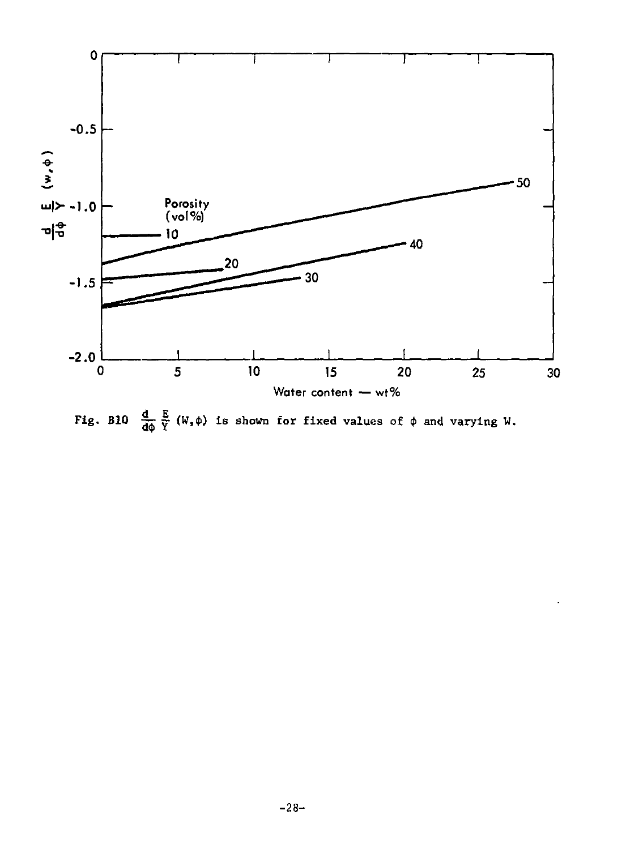

Fig. B10  $\frac{d}{d\phi} \frac{E}{Y} (W, \phi)$  is shown for fixed values of  $\phi$  and varying W.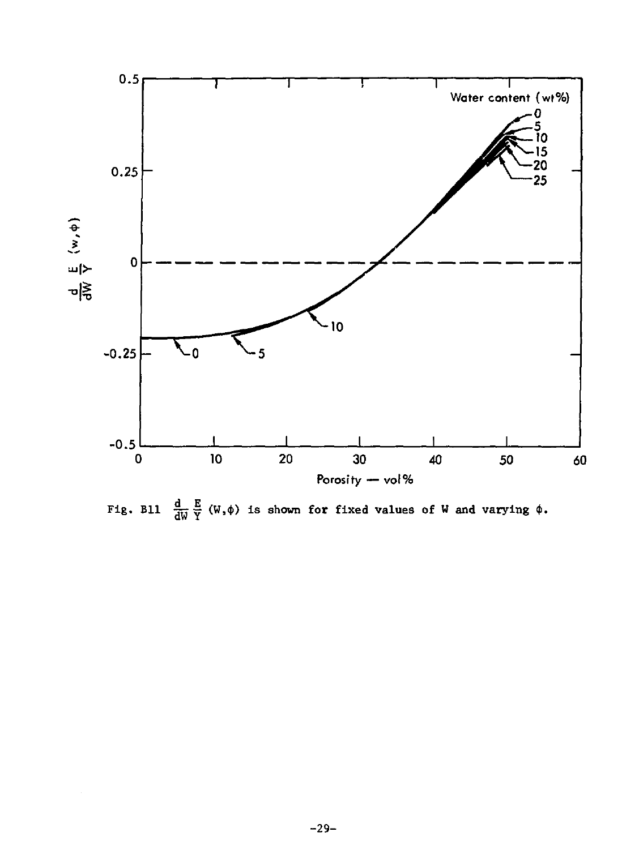

Fig. Bll  $\frac{d}{dW}\frac{E}{Y}(W,\phi)$  is shown for fixed values of W and varying  $\phi$ .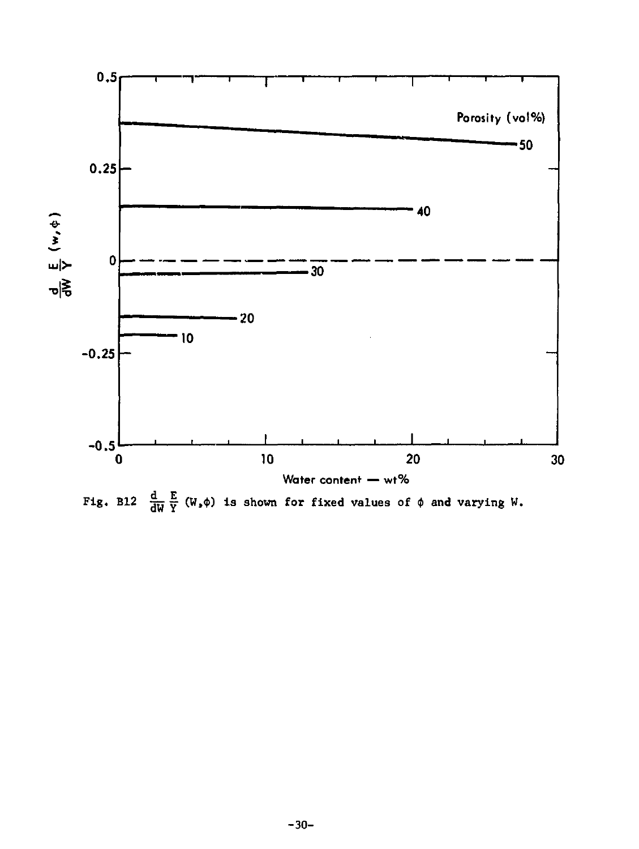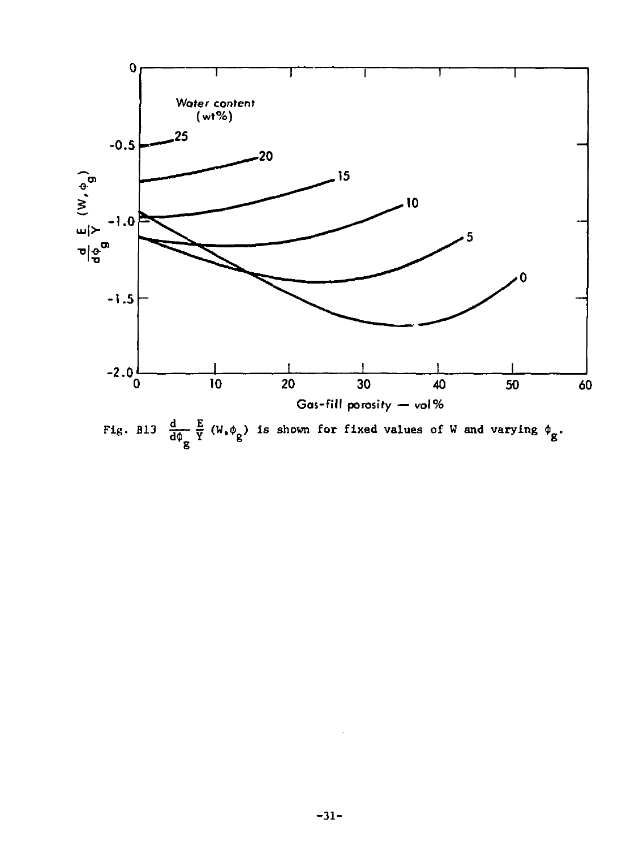

Fig. Bl3  $\frac{d}{d\phi_g} \frac{E}{Y}$  (W,  $\phi_g$ ) is shown for fixed values of W and varying  $\phi_g$ .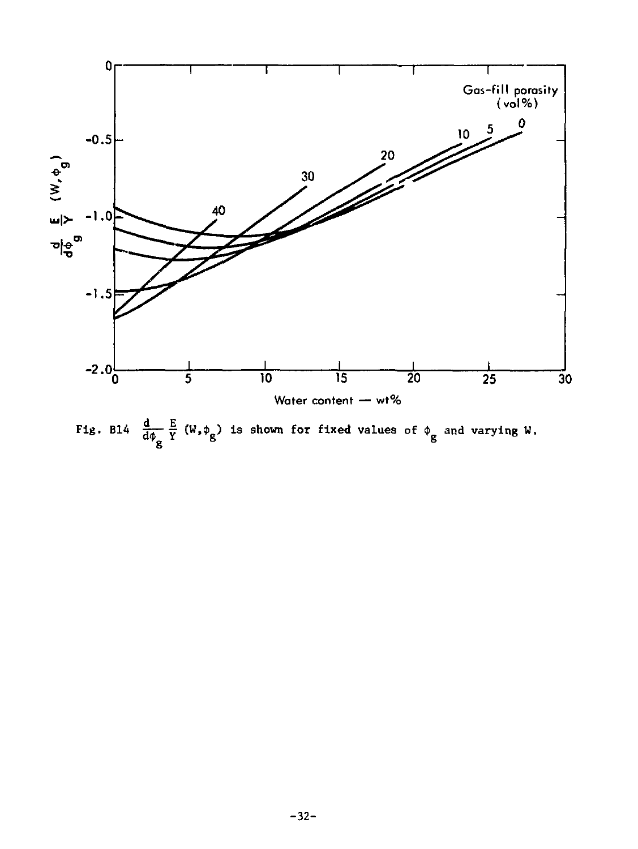

Fig. Bl4  $\frac{d}{d\phi_g} \frac{E}{Y}$  (W,  $\phi_g$ ) is shown for fixed values of  $\phi_g$  and varying W.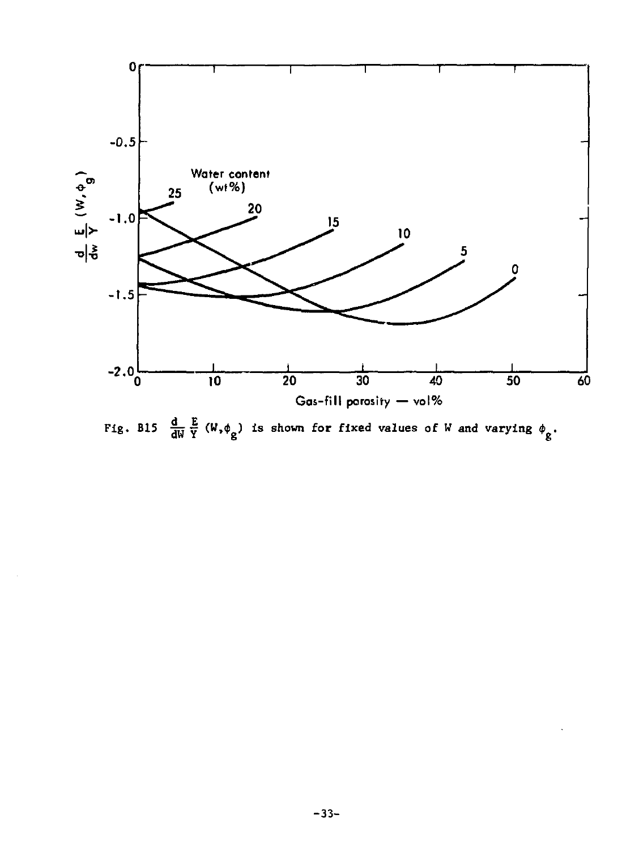

Fig. Bl5  $\frac{d}{dw} \frac{E}{Y} (W, \phi_g)$  is shown for fixed values of W and varying  $\phi_g$ .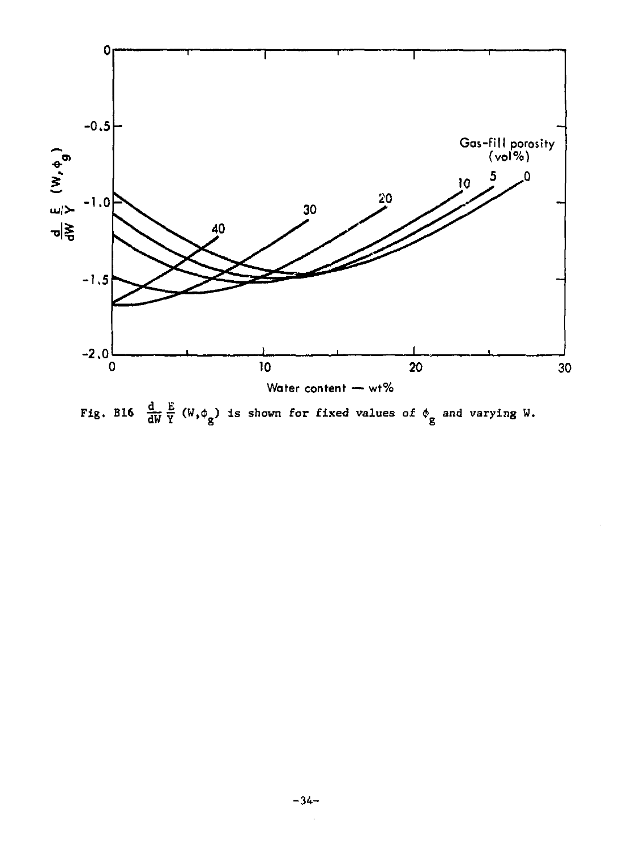

Fig. Bl6  $\frac{d}{dW} \frac{E}{Y} (W, \phi_g)$  is shown for fixed values of  $\phi_g$  and varying W.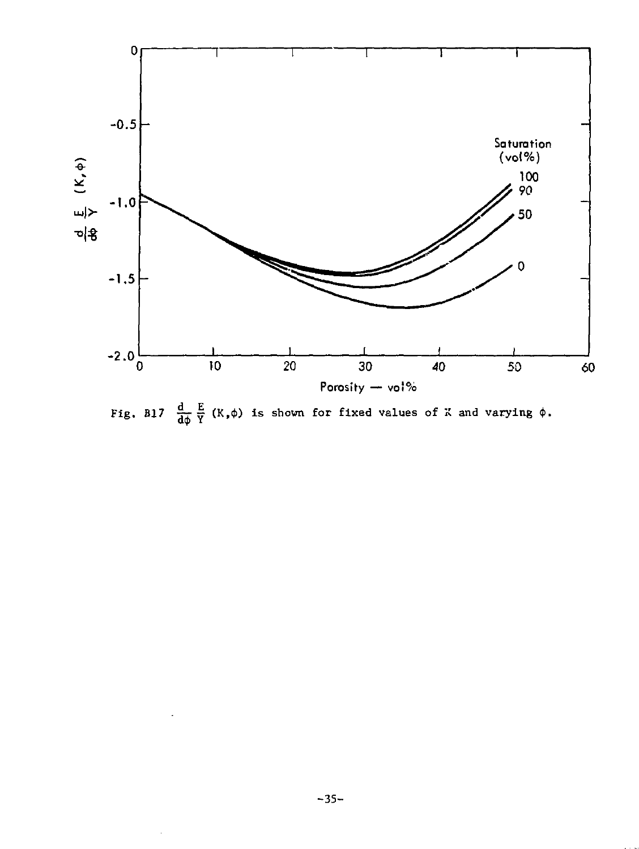

Fig. B17  $\frac{d}{d\phi} \frac{E}{Y} (K, \phi)$  is shown for fixed values of  $K$  and varying  $\phi$ .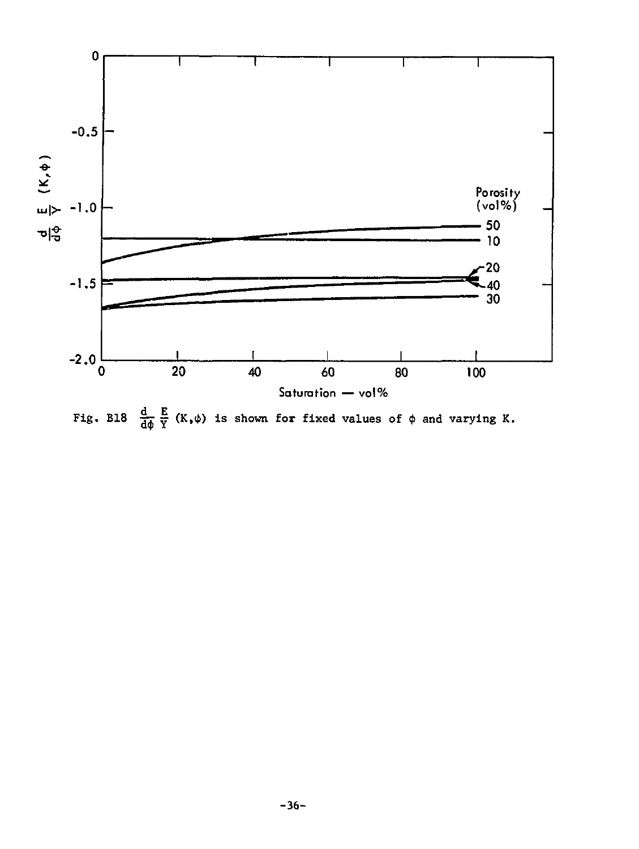

Fig. B18  $\frac{d}{d\phi} \frac{E}{Y} (K, \phi)$  is shown for fixed values of  $\phi$  and varying K.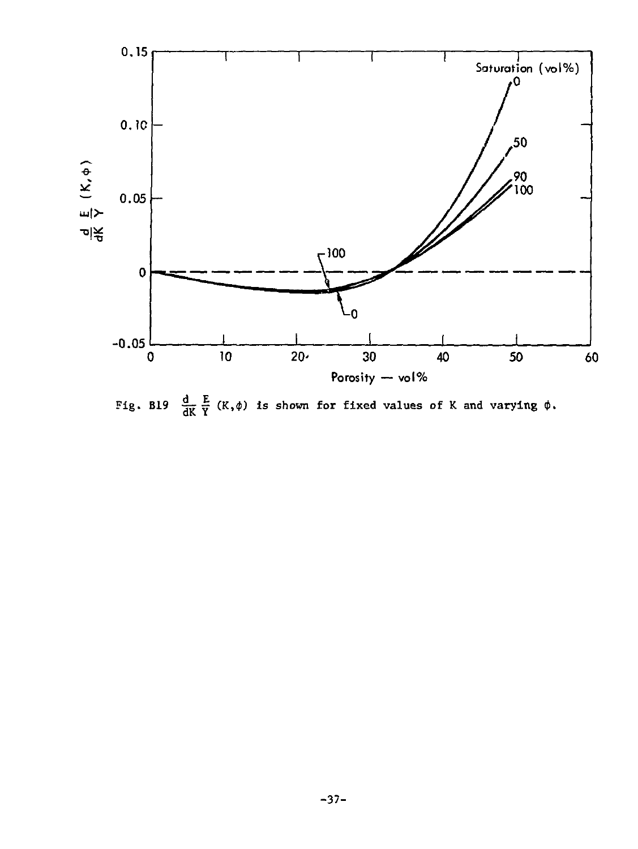

Fig. B19  $\frac{d}{dK} \frac{E}{Y} (K, \phi)$  is shown for fixed values of K and varying  $\phi$ .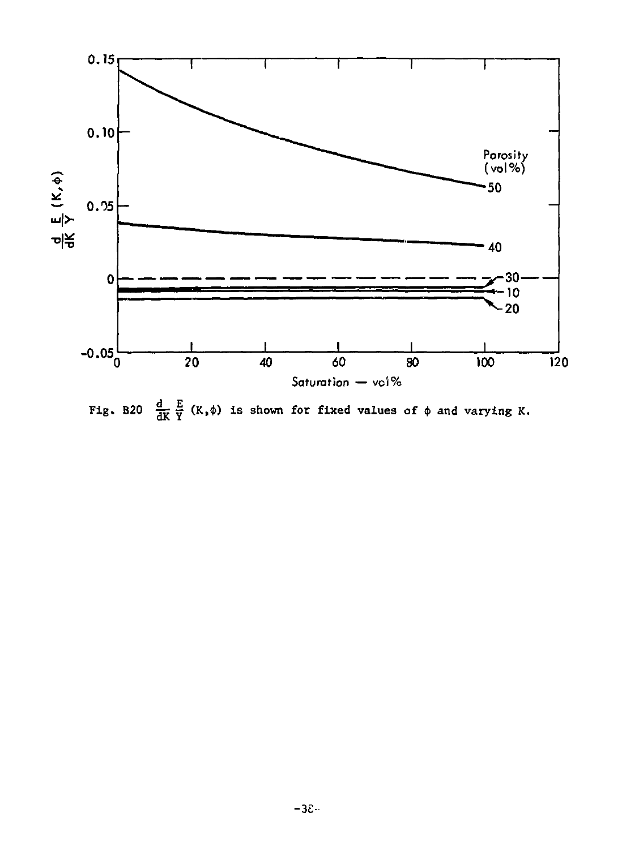

Fig. B20  $\frac{d}{dK} \frac{E}{Y}$  (K,  $\phi$ ) is shown for fixed values of  $\phi$  and varying K.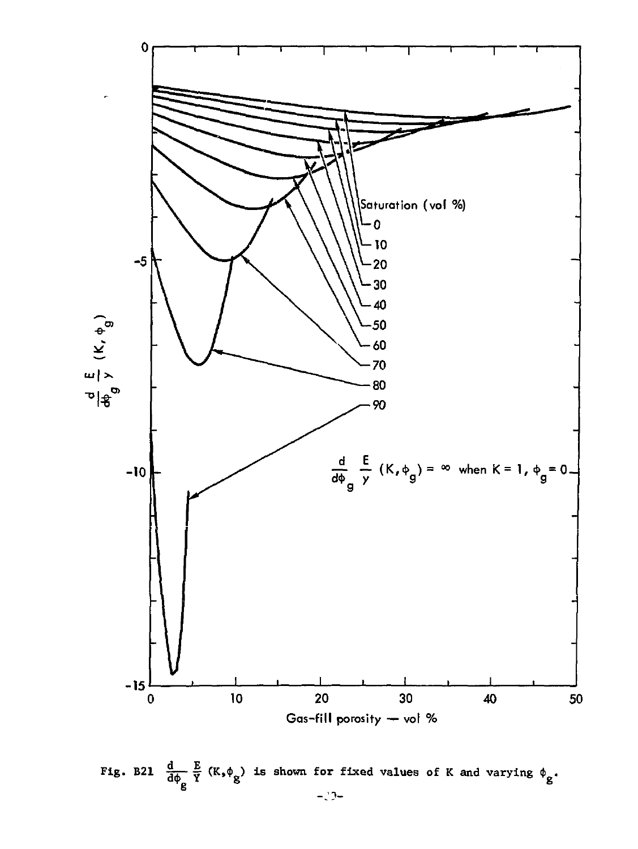

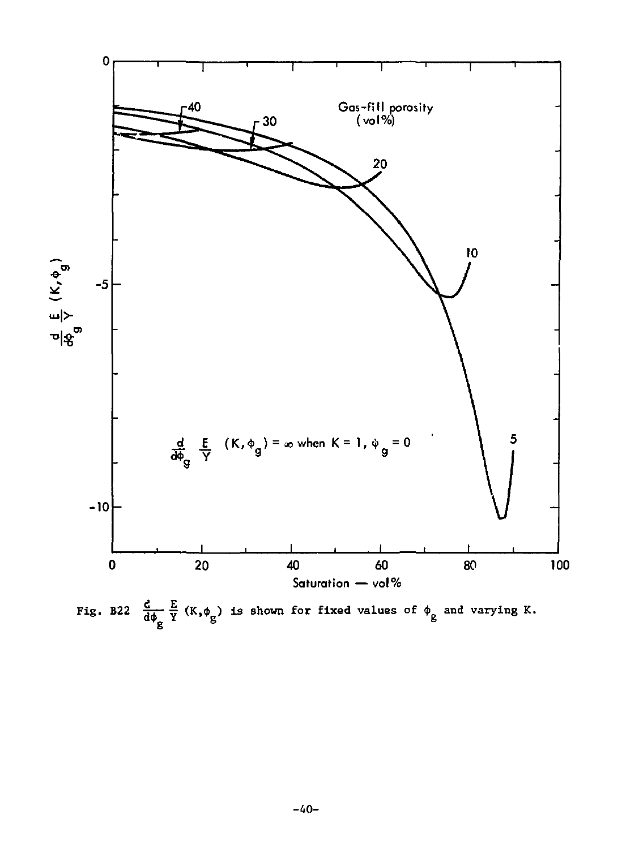

Fig. B22  $\frac{d}{d\phi_g} \frac{E}{Y}$  (K,  $\phi_g$ ) is shown for fixed values of  $\phi_g$  and varying K.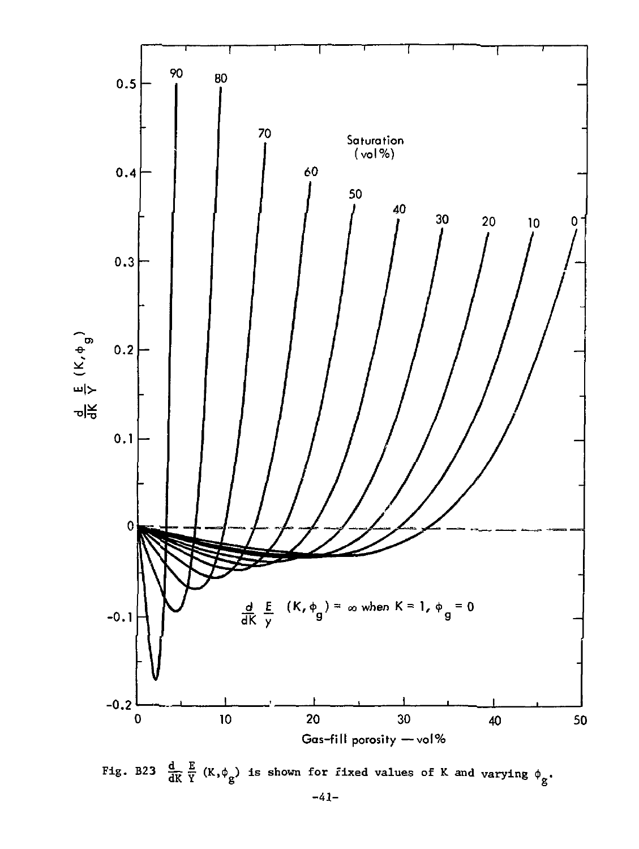

Fig. B23  $\frac{d}{dK} \frac{E}{Y} (K, \phi_g)$  is shown for fixed values of K and varying  $\phi_g$ .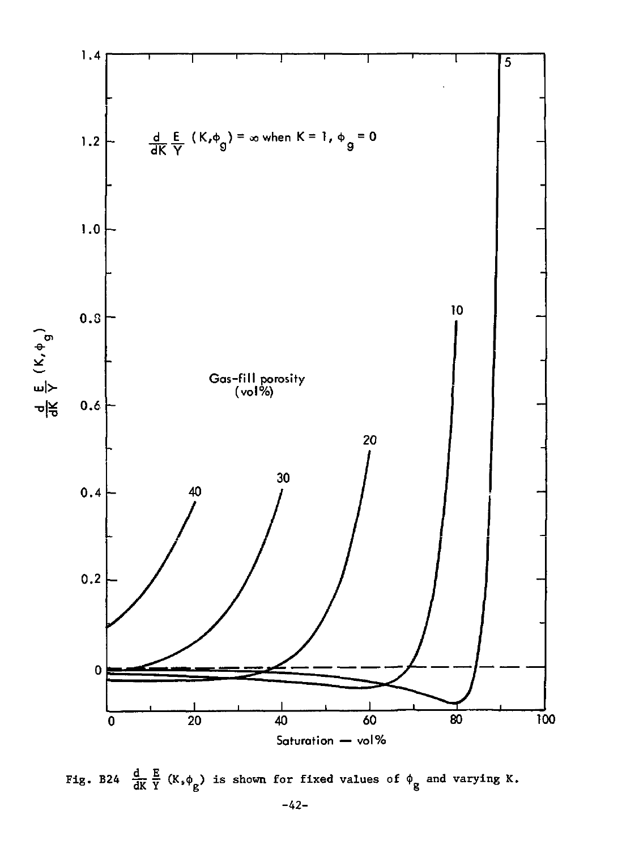